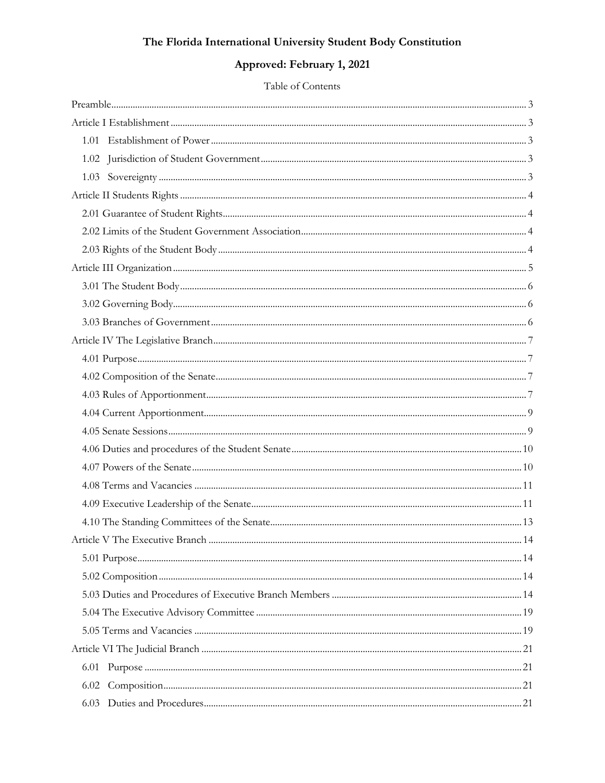# Approved: February 1, 2021

### Table of Contents

| . 14 |  |
|------|--|
|      |  |
|      |  |
|      |  |
|      |  |
|      |  |
|      |  |
| 6.01 |  |
| 6.02 |  |
| 6.03 |  |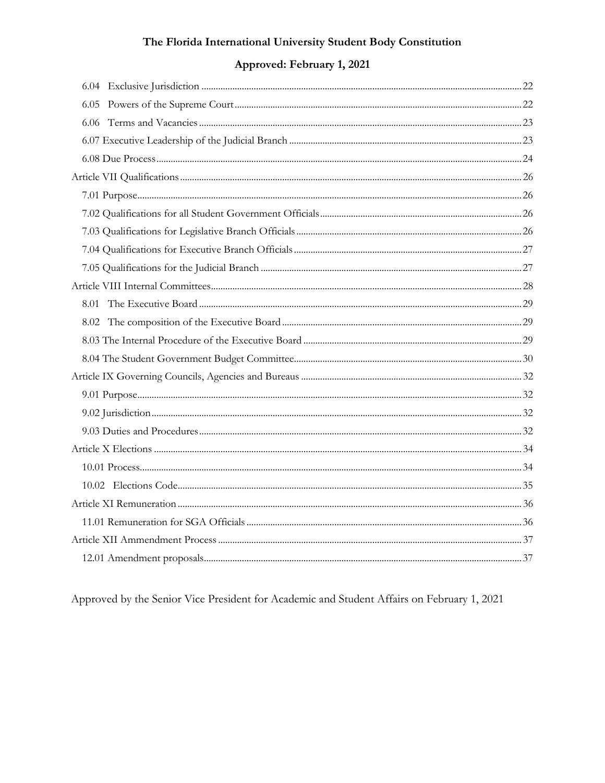# Approved: February 1, 2021

Approved by the Senior Vice President for Academic and Student Affairs on February 1, 2021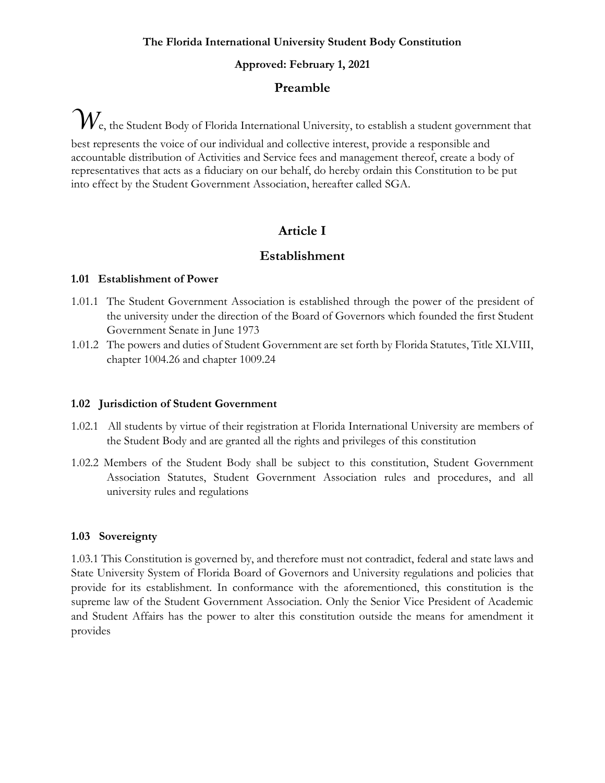#### **Approved: February 1, 2021**

### **Preamble**

<span id="page-2-0"></span> $\mathcal{W}_{\mathrm{e}}$ , the Student Body of Florida International University, to establish a student government that best represents the voice of our individual and collective interest, provide a responsible and accountable distribution of Activities and Service fees and management thereof, create a body of representatives that acts as a fiduciary on our behalf, do hereby ordain this Constitution to be put into effect by the Student Government Association, hereafter called SGA.

# **Article I**

# **Establishment**

### <span id="page-2-2"></span><span id="page-2-1"></span>**1.01 Establishment of Power**

- 1.01.1 The Student Government Association is established through the power of the president of the university under the direction of the Board of Governors which founded the first Student Government Senate in June 1973
- 1.01.2 The powers and duties of Student Government are set forth by Florida Statutes, Title XLVIII, chapter 1004.26 and chapter 1009.24

### <span id="page-2-3"></span>**1.02 Jurisdiction of Student Government**

- 1.02.1 All students by virtue of their registration at Florida International University are members of the Student Body and are granted all the rights and privileges of this constitution
- 1.02.2 Members of the Student Body shall be subject to this constitution, Student Government Association Statutes, Student Government Association rules and procedures, and all university rules and regulations

### <span id="page-2-4"></span>**1.03 Sovereignty**

<span id="page-2-5"></span>1.03.1 This Constitution is governed by, and therefore must not contradict, federal and state laws and State University System of Florida Board of Governors and University regulations and policies that provide for its establishment. In conformance with the aforementioned, this constitution is the supreme law of the Student Government Association. Only the Senior Vice President of Academic and Student Affairs has the power to alter this constitution outside the means for amendment it provides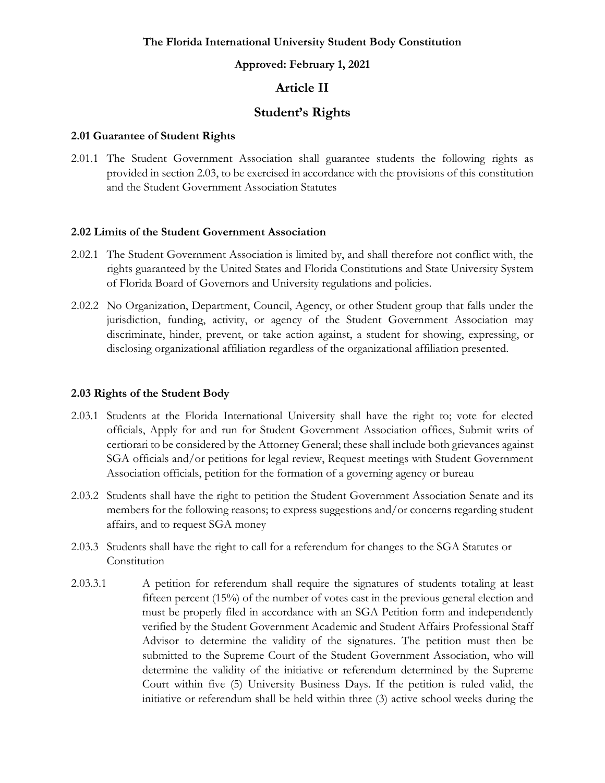#### **Approved: February 1, 2021**

# **Article II**

# **Student's Rights**

#### <span id="page-3-0"></span>**2.01 Guarantee of Student Rights**

2.01.1 The Student Government Association shall guarantee students the following rights as provided in section 2.03, to be exercised in accordance with the provisions of this constitution and the Student Government Association Statutes

#### <span id="page-3-1"></span>**2.02 Limits of the Student Government Association**

- 2.02.1 The Student Government Association is limited by, and shall therefore not conflict with, the rights guaranteed by the United States and Florida Constitutions and State University System of Florida Board of Governors and University regulations and policies.
- 2.02.2 No Organization, Department, Council, Agency, or other Student group that falls under the jurisdiction, funding, activity, or agency of the Student Government Association may discriminate, hinder, prevent, or take action against, a student for showing, expressing, or disclosing organizational affiliation regardless of the organizational affiliation presented.

#### <span id="page-3-2"></span>**2.03 Rights of the Student Body**

- 2.03.1 Students at the Florida International University shall have the right to; vote for elected officials, Apply for and run for Student Government Association offices, Submit writs of certiorari to be considered by the Attorney General; these shall include both grievances against SGA officials and/or petitions for legal review, Request meetings with Student Government Association officials, petition for the formation of a governing agency or bureau
- 2.03.2 Students shall have the right to petition the Student Government Association Senate and its members for the following reasons; to express suggestions and/or concerns regarding student affairs, and to request SGA money
- 2.03.3 Students shall have the right to call for a referendum for changes to the SGA Statutes or Constitution
- 2.03.3.1 A petition for referendum shall require the signatures of students totaling at least fifteen percent (15%) of the number of votes cast in the previous general election and must be properly filed in accordance with an SGA Petition form and independently verified by the Student Government Academic and Student Affairs Professional Staff Advisor to determine the validity of the signatures. The petition must then be submitted to the Supreme Court of the Student Government Association, who will determine the validity of the initiative or referendum determined by the Supreme Court within five (5) University Business Days. If the petition is ruled valid, the initiative or referendum shall be held within three (3) active school weeks during the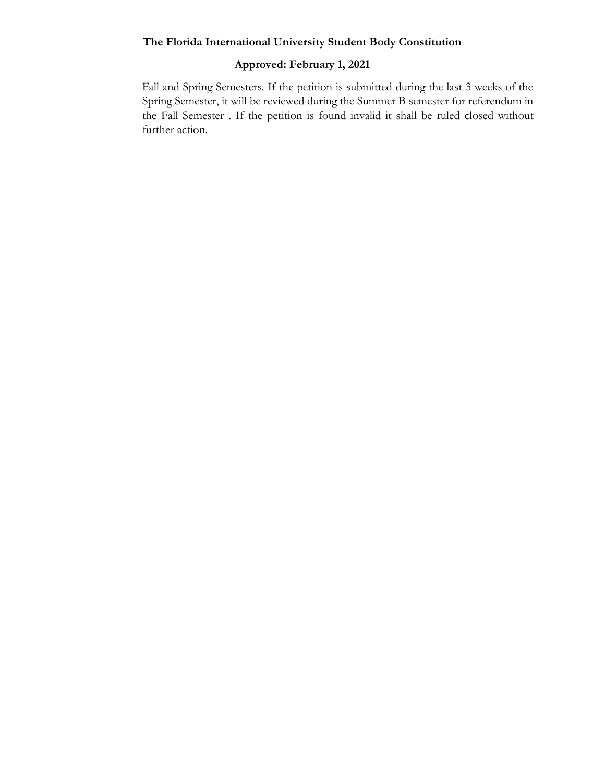# **Approved: February 1, 2021**

<span id="page-4-0"></span>Fall and Spring Semesters. If the petition is submitted during the last 3 weeks of the Spring Semester, it will be reviewed during the Summer B semester for referendum in the Fall Semester . If the petition is found invalid it shall be ruled closed without further action.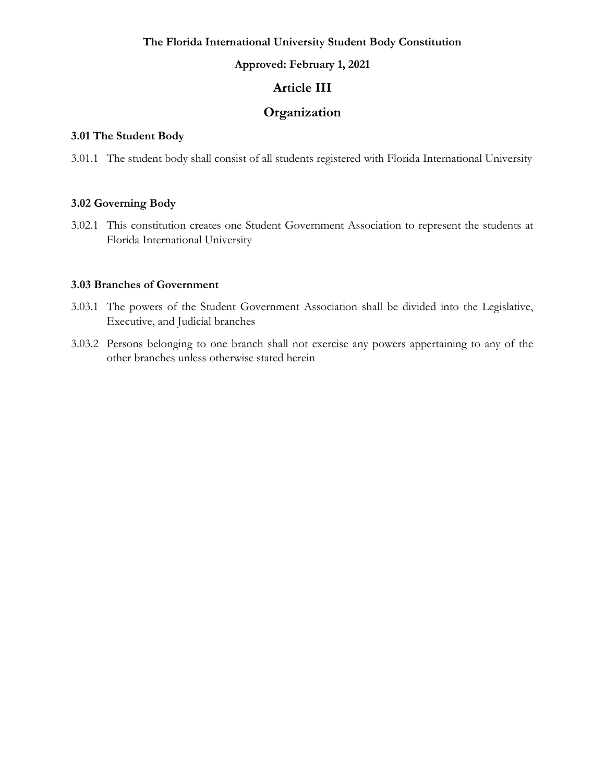#### **Approved: February 1, 2021**

# **Article III**

# **Organization**

### <span id="page-5-0"></span>**3.01 The Student Body**

3.01.1 The student body shall consist of all students registered with Florida International University

### <span id="page-5-1"></span>**3.02 Governing Body**

3.02.1 This constitution creates one Student Government Association to represent the students at Florida International University

### <span id="page-5-2"></span>**3.03 Branches of Government**

- 3.03.1 The powers of the Student Government Association shall be divided into the Legislative, Executive, and Judicial branches
- 3.03.2 Persons belonging to one branch shall not exercise any powers appertaining to any of the other branches unless otherwise stated herein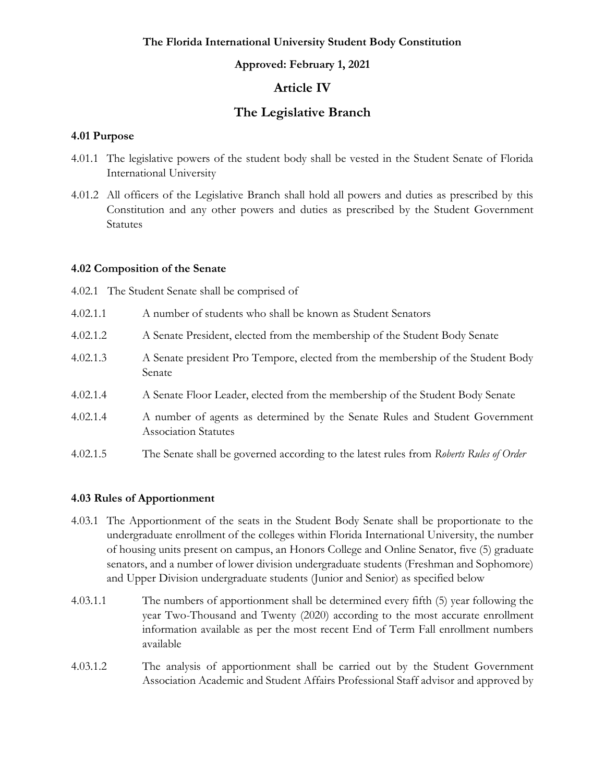#### **Approved: February 1, 2021**

# **Article IV**

# **The Legislative Branch**

#### <span id="page-6-1"></span><span id="page-6-0"></span>**4.01 Purpose**

- 4.01.1 The legislative powers of the student body shall be vested in the Student Senate of Florida International University
- 4.01.2 All officers of the Legislative Branch shall hold all powers and duties as prescribed by this Constitution and any other powers and duties as prescribed by the Student Government Statutes

#### <span id="page-6-2"></span>**4.02 Composition of the Senate**

- 4.02.1 The Student Senate shall be comprised of
- 4.02.1.1 A number of students who shall be known as Student Senators
- 4.02.1.2 A Senate President, elected from the membership of the Student Body Senate
- 4.02.1.3 A Senate president Pro Tempore, elected from the membership of the Student Body Senate
- 4.02.1.4 A Senate Floor Leader, elected from the membership of the Student Body Senate
- 4.02.1.4 A number of agents as determined by the Senate Rules and Student Government Association Statutes
- 4.02.1.5 The Senate shall be governed according to the latest rules from *Roberts Rules of Order*

#### <span id="page-6-3"></span>**4.03 Rules of Apportionment**

- 4.03.1 The Apportionment of the seats in the Student Body Senate shall be proportionate to the undergraduate enrollment of the colleges within Florida International University, the number of housing units present on campus, an Honors College and Online Senator, five (5) graduate senators, and a number of lower division undergraduate students (Freshman and Sophomore) and Upper Division undergraduate students (Junior and Senior) as specified below
- 4.03.1.1 The numbers of apportionment shall be determined every fifth (5) year following the year Two-Thousand and Twenty (2020) according to the most accurate enrollment information available as per the most recent End of Term Fall enrollment numbers available
- 4.03.1.2 The analysis of apportionment shall be carried out by the Student Government Association Academic and Student Affairs Professional Staff advisor and approved by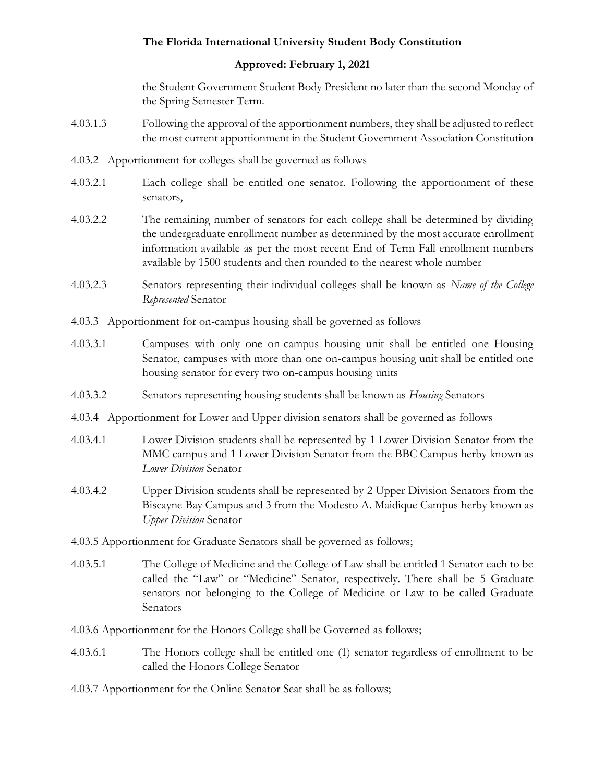### **Approved: February 1, 2021**

the Student Government Student Body President no later than the second Monday of the Spring Semester Term.

- 4.03.1.3 Following the approval of the apportionment numbers, they shall be adjusted to reflect the most current apportionment in the Student Government Association Constitution
- 4.03.2 Apportionment for colleges shall be governed as follows
- 4.03.2.1 Each college shall be entitled one senator. Following the apportionment of these senators,
- 4.03.2.2 The remaining number of senators for each college shall be determined by dividing the undergraduate enrollment number as determined by the most accurate enrollment information available as per the most recent End of Term Fall enrollment numbers available by 1500 students and then rounded to the nearest whole number
- 4.03.2.3 Senators representing their individual colleges shall be known as *Name of the College Represented* Senator
- 4.03.3 Apportionment for on-campus housing shall be governed as follows
- 4.03.3.1 Campuses with only one on-campus housing unit shall be entitled one Housing Senator, campuses with more than one on-campus housing unit shall be entitled one housing senator for every two on-campus housing units
- 4.03.3.2 Senators representing housing students shall be known as *Housing* Senators
- 4.03.4 Apportionment for Lower and Upper division senators shall be governed as follows
- 4.03.4.1 Lower Division students shall be represented by 1 Lower Division Senator from the MMC campus and 1 Lower Division Senator from the BBC Campus herby known as *Lower Division* Senator
- 4.03.4.2 Upper Division students shall be represented by 2 Upper Division Senators from the Biscayne Bay Campus and 3 from the Modesto A. Maidique Campus herby known as *Upper Division* Senator
- 4.03.5 Apportionment for Graduate Senators shall be governed as follows;
- 4.03.5.1 The College of Medicine and the College of Law shall be entitled 1 Senator each to be called the "Law" or "Medicine" Senator, respectively. There shall be 5 Graduate senators not belonging to the College of Medicine or Law to be called Graduate Senators
- 4.03.6 Apportionment for the Honors College shall be Governed as follows;
- 4.03.6.1 The Honors college shall be entitled one (1) senator regardless of enrollment to be called the Honors College Senator
- 4.03.7 Apportionment for the Online Senator Seat shall be as follows;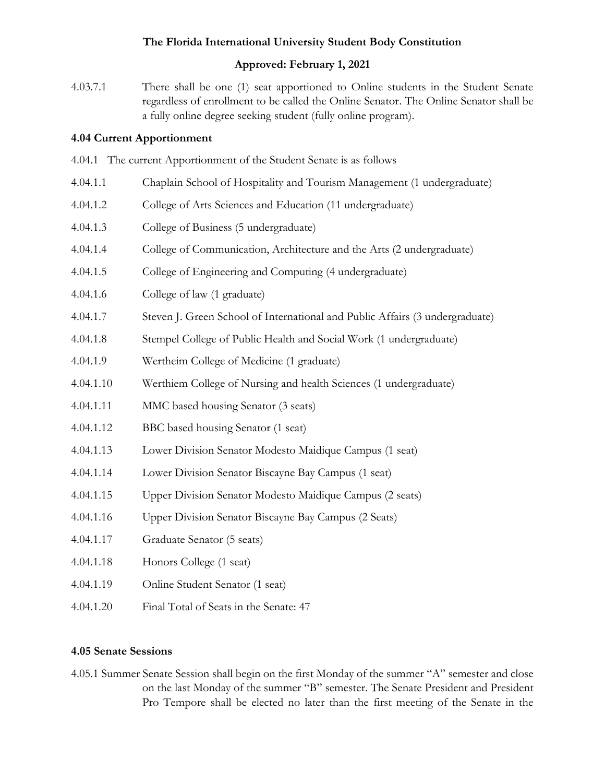## **Approved: February 1, 2021**

4.03.7.1 There shall be one (1) seat apportioned to Online students in the Student Senate regardless of enrollment to be called the Online Senator. The Online Senator shall be a fully online degree seeking student (fully online program).

### <span id="page-8-0"></span>**4.04 Current Apportionment**

- 4.04.1 The current Apportionment of the Student Senate is as follows
- 4.04.1.1 Chaplain School of Hospitality and Tourism Management (1 undergraduate)
- 4.04.1.2 College of Arts Sciences and Education (11 undergraduate)
- 4.04.1.3 College of Business (5 undergraduate)
- 4.04.1.4 College of Communication, Architecture and the Arts (2 undergraduate)
- 4.04.1.5 College of Engineering and Computing (4 undergraduate)
- 4.04.1.6 College of law (1 graduate)
- 4.04.1.7 Steven J. Green School of International and Public Affairs (3 undergraduate)
- 4.04.1.8 Stempel College of Public Health and Social Work (1 undergraduate)
- 4.04.1.9 Wertheim College of Medicine (1 graduate)
- 4.04.1.10 Werthiem College of Nursing and health Sciences (1 undergraduate)
- 4.04.1.11 MMC based housing Senator (3 seats)
- 4.04.1.12 BBC based housing Senator (1 seat)
- 4.04.1.13 Lower Division Senator Modesto Maidique Campus (1 seat)
- 4.04.1.14 Lower Division Senator Biscayne Bay Campus (1 seat)
- 4.04.1.15 Upper Division Senator Modesto Maidique Campus (2 seats)
- 4.04.1.16 Upper Division Senator Biscayne Bay Campus (2 Seats)
- 4.04.1.17 Graduate Senator (5 seats)
- 4.04.1.18 Honors College (1 seat)
- 4.04.1.19 Online Student Senator (1 seat)
- 4.04.1.20 Final Total of Seats in the Senate: 47

### <span id="page-8-1"></span>**4.05 Senate Sessions**

4.05.1 Summer Senate Session shall begin on the first Monday of the summer "A" semester and close on the last Monday of the summer "B" semester. The Senate President and President Pro Tempore shall be elected no later than the first meeting of the Senate in the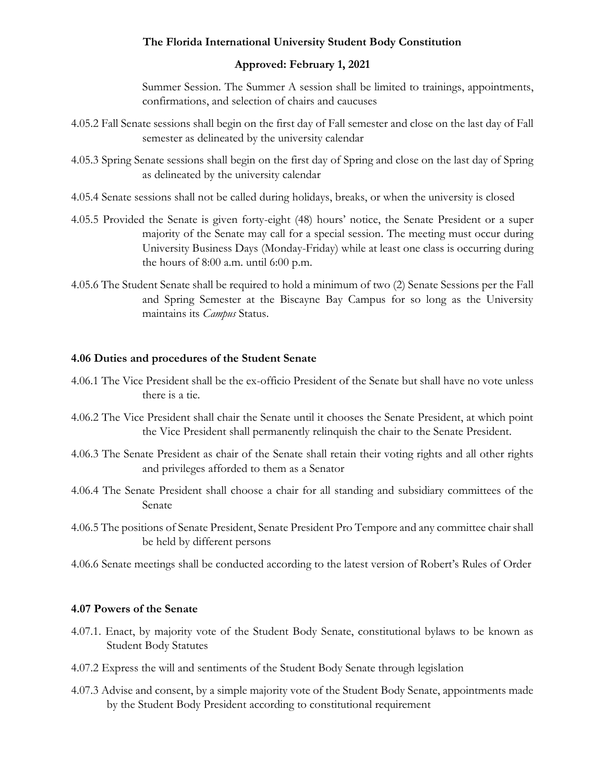### **Approved: February 1, 2021**

Summer Session. The Summer A session shall be limited to trainings, appointments, confirmations, and selection of chairs and caucuses

- 4.05.2 Fall Senate sessions shall begin on the first day of Fall semester and close on the last day of Fall semester as delineated by the university calendar
- 4.05.3 Spring Senate sessions shall begin on the first day of Spring and close on the last day of Spring as delineated by the university calendar
- 4.05.4 Senate sessions shall not be called during holidays, breaks, or when the university is closed
- 4.05.5 Provided the Senate is given forty-eight (48) hours' notice, the Senate President or a super majority of the Senate may call for a special session. The meeting must occur during University Business Days (Monday-Friday) while at least one class is occurring during the hours of 8:00 a.m. until 6:00 p.m.
- 4.05.6 The Student Senate shall be required to hold a minimum of two (2) Senate Sessions per the Fall and Spring Semester at the Biscayne Bay Campus for so long as the University maintains its *Campus* Status.

### <span id="page-9-0"></span>**4.06 Duties and procedures of the Student Senate**

- 4.06.1 The Vice President shall be the ex-officio President of the Senate but shall have no vote unless there is a tie.
- 4.06.2 The Vice President shall chair the Senate until it chooses the Senate President, at which point the Vice President shall permanently relinquish the chair to the Senate President.
- 4.06.3 The Senate President as chair of the Senate shall retain their voting rights and all other rights and privileges afforded to them as a Senator
- 4.06.4 The Senate President shall choose a chair for all standing and subsidiary committees of the Senate
- 4.06.5 The positions of Senate President, Senate President Pro Tempore and any committee chair shall be held by different persons
- 4.06.6 Senate meetings shall be conducted according to the latest version of Robert's Rules of Order

#### <span id="page-9-1"></span>**4.07 Powers of the Senate**

- 4.07.1. Enact, by majority vote of the Student Body Senate, constitutional bylaws to be known as Student Body Statutes
- 4.07.2 Express the will and sentiments of the Student Body Senate through legislation
- 4.07.3 Advise and consent, by a simple majority vote of the Student Body Senate, appointments made by the Student Body President according to constitutional requirement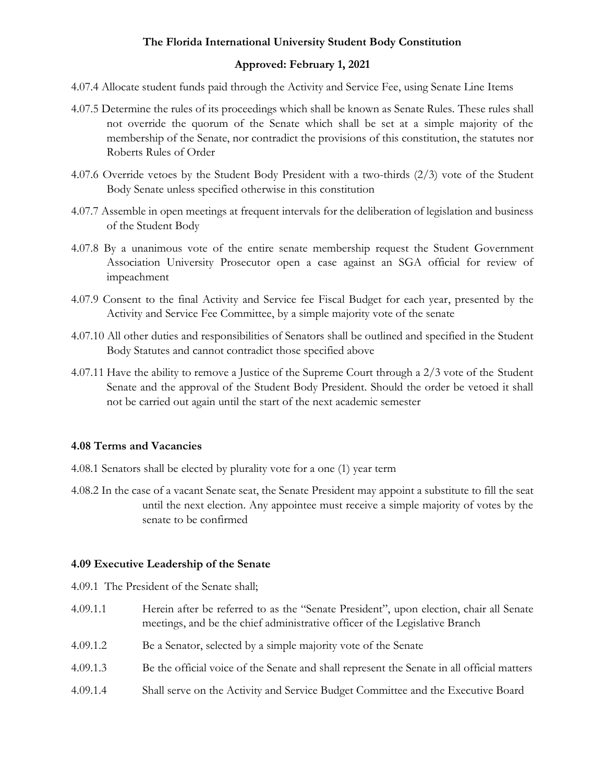### **Approved: February 1, 2021**

- 4.07.4 Allocate student funds paid through the Activity and Service Fee, using Senate Line Items
- 4.07.5 Determine the rules of its proceedings which shall be known as Senate Rules. These rules shall not override the quorum of the Senate which shall be set at a simple majority of the membership of the Senate, nor contradict the provisions of this constitution, the statutes nor Roberts Rules of Order
- 4.07.6 Override vetoes by the Student Body President with a two-thirds (2/3) vote of the Student Body Senate unless specified otherwise in this constitution
- 4.07.7 Assemble in open meetings at frequent intervals for the deliberation of legislation and business of the Student Body
- 4.07.8 By a unanimous vote of the entire senate membership request the Student Government Association University Prosecutor open a case against an SGA official for review of impeachment
- 4.07.9 Consent to the final Activity and Service fee Fiscal Budget for each year, presented by the Activity and Service Fee Committee, by a simple majority vote of the senate
- 4.07.10 All other duties and responsibilities of Senators shall be outlined and specified in the Student Body Statutes and cannot contradict those specified above
- 4.07.11 Have the ability to remove a Justice of the Supreme Court through a 2/3 vote of the Student Senate and the approval of the Student Body President. Should the order be vetoed it shall not be carried out again until the start of the next academic semester

### <span id="page-10-0"></span>**4.08 Terms and Vacancies**

- 4.08.1 Senators shall be elected by plurality vote for a one (1) year term
- 4.08.2 In the case of a vacant Senate seat, the Senate President may appoint a substitute to fill the seat until the next election. Any appointee must receive a simple majority of votes by the senate to be confirmed

#### <span id="page-10-1"></span>**4.09 Executive Leadership of the Senate**

- 4.09.1 The President of the Senate shall;
- 4.09.1.1 Herein after be referred to as the "Senate President", upon election, chair all Senate meetings, and be the chief administrative officer of the Legislative Branch
- 4.09.1.2 Be a Senator, selected by a simple majority vote of the Senate
- 4.09.1.3 Be the official voice of the Senate and shall represent the Senate in all official matters
- 4.09.1.4 Shall serve on the Activity and Service Budget Committee and the Executive Board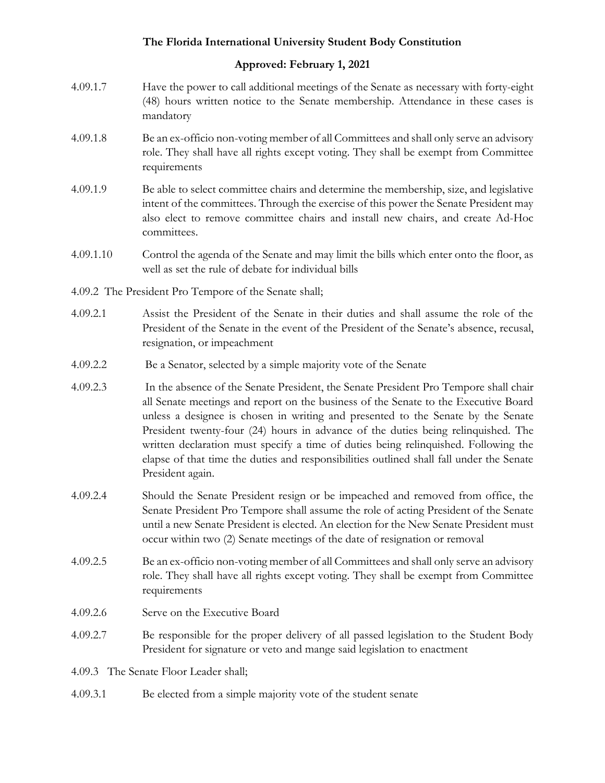# **Approved: February 1, 2021**

- 4.09.1.7 Have the power to call additional meetings of the Senate as necessary with forty-eight (48) hours written notice to the Senate membership. Attendance in these cases is mandatory
- 4.09.1.8 Be an ex-officio non-voting member of all Committees and shall only serve an advisory role. They shall have all rights except voting. They shall be exempt from Committee requirements
- 4.09.1.9 Be able to select committee chairs and determine the membership, size, and legislative intent of the committees. Through the exercise of this power the Senate President may also elect to remove committee chairs and install new chairs, and create Ad-Hoc committees.
- 4.09.1.10 Control the agenda of the Senate and may limit the bills which enter onto the floor, as well as set the rule of debate for individual bills
- 4.09.2 The President Pro Tempore of the Senate shall;
- 4.09.2.1 Assist the President of the Senate in their duties and shall assume the role of the President of the Senate in the event of the President of the Senate's absence, recusal, resignation, or impeachment
- 4.09.2.2 Be a Senator, selected by a simple majority vote of the Senate
- 4.09.2.3 In the absence of the Senate President, the Senate President Pro Tempore shall chair all Senate meetings and report on the business of the Senate to the Executive Board unless a designee is chosen in writing and presented to the Senate by the Senate President twenty-four (24) hours in advance of the duties being relinquished. The written declaration must specify a time of duties being relinquished. Following the elapse of that time the duties and responsibilities outlined shall fall under the Senate President again.
- 4.09.2.4 Should the Senate President resign or be impeached and removed from office, the Senate President Pro Tempore shall assume the role of acting President of the Senate until a new Senate President is elected. An election for the New Senate President must occur within two (2) Senate meetings of the date of resignation or removal
- 4.09.2.5 Be an ex-officio non-voting member of all Committees and shall only serve an advisory role. They shall have all rights except voting. They shall be exempt from Committee requirements
- 4.09.2.6 Serve on the Executive Board
- 4.09.2.7 Be responsible for the proper delivery of all passed legislation to the Student Body President for signature or veto and mange said legislation to enactment

4.09.3 The Senate Floor Leader shall;

4.09.3.1 Be elected from a simple majority vote of the student senate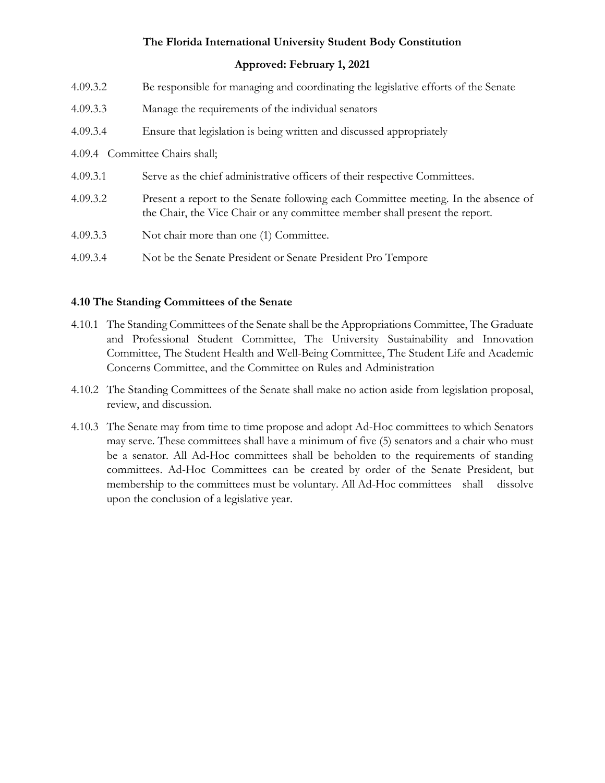### **Approved: February 1, 2021**

| 4.09.3.2 | Be responsible for managing and coordinating the legislative efforts of the Senate                                                                                |
|----------|-------------------------------------------------------------------------------------------------------------------------------------------------------------------|
| 4.09.3.3 | Manage the requirements of the individual senators                                                                                                                |
| 4.09.3.4 | Ensure that legislation is being written and discussed appropriately                                                                                              |
|          | 4.09.4 Committee Chairs shall;                                                                                                                                    |
| 4.09.3.1 | Serve as the chief administrative officers of their respective Committees.                                                                                        |
| 4.09.3.2 | Present a report to the Senate following each Committee meeting. In the absence of<br>the Chair, the Vice Chair or any committee member shall present the report. |
| 4.09.3.3 | Not chair more than one (1) Committee.                                                                                                                            |
| 4.09.3.4 | Not be the Senate President or Senate President Pro Tempore                                                                                                       |

### <span id="page-12-0"></span>**4.10 The Standing Committees of the Senate**

- 4.10.1 The Standing Committees of the Senate shall be the Appropriations Committee, The Graduate and Professional Student Committee, The University Sustainability and Innovation Committee, The Student Health and Well-Being Committee, The Student Life and Academic Concerns Committee, and the Committee on Rules and Administration
- 4.10.2 The Standing Committees of the Senate shall make no action aside from legislation proposal, review, and discussion.
- 4.10.3 The Senate may from time to time propose and adopt Ad-Hoc committees to which Senators may serve. These committees shall have a minimum of five (5) senators and a chair who must be a senator. All Ad-Hoc committees shall be beholden to the requirements of standing committees. Ad-Hoc Committees can be created by order of the Senate President, but membership to the committees must be voluntary. All Ad-Hoc committees shall dissolve upon the conclusion of a legislative year.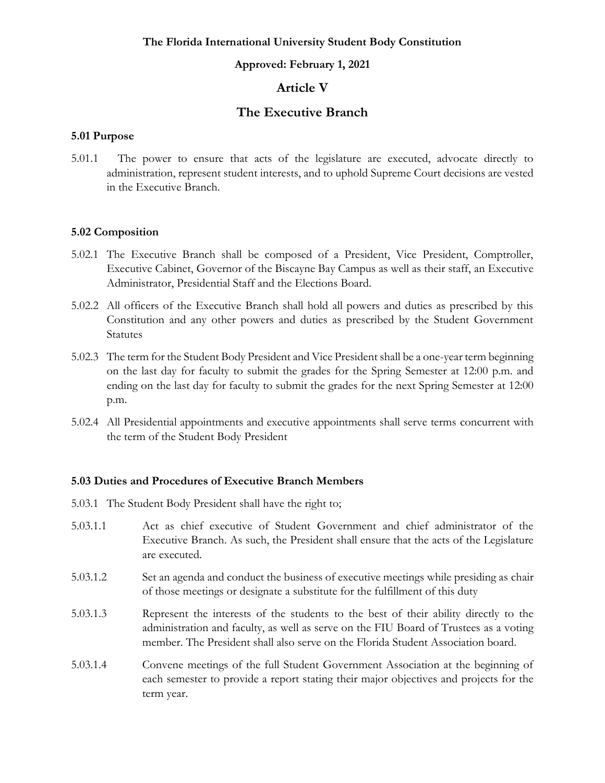#### **Approved: February 1, 2021**

# **Article V**

# **The Executive Branch**

#### <span id="page-13-1"></span><span id="page-13-0"></span>**5.01 Purpose**

5.01.1 The power to ensure that acts of the legislature are executed, advocate directly to administration, represent student interests, and to uphold Supreme Court decisions are vested in the Executive Branch.

#### <span id="page-13-2"></span>**5.02 Composition**

- 5.02.1 The Executive Branch shall be composed of a President, Vice President, Comptroller, Executive Cabinet, Governor of the Biscayne Bay Campus as well as their staff, an Executive Administrator, Presidential Staff and the Elections Board.
- 5.02.2 All officers of the Executive Branch shall hold all powers and duties as prescribed by this Constitution and any other powers and duties as prescribed by the Student Government Statutes
- 5.02.3 The term for the Student Body President and Vice President shall be a one-year term beginning on the last day for faculty to submit the grades for the Spring Semester at 12:00 p.m. and ending on the last day for faculty to submit the grades for the next Spring Semester at 12:00 p.m.
- 5.02.4 All Presidential appointments and executive appointments shall serve terms concurrent with the term of the Student Body President

### <span id="page-13-3"></span>**5.03 Duties and Procedures of Executive Branch Members**

- 5.03.1 The Student Body President shall have the right to;
- 5.03.1.1 Act as chief executive of Student Government and chief administrator of the Executive Branch. As such, the President shall ensure that the acts of the Legislature are executed.
- 5.03.1.2 Set an agenda and conduct the business of executive meetings while presiding as chair of those meetings or designate a substitute for the fulfillment of this duty
- 5.03.1.3 Represent the interests of the students to the best of their ability directly to the administration and faculty, as well as serve on the FIU Board of Trustees as a voting member. The President shall also serve on the Florida Student Association board.
- 5.03.1.4 Convene meetings of the full Student Government Association at the beginning of each semester to provide a report stating their major objectives and projects for the term year.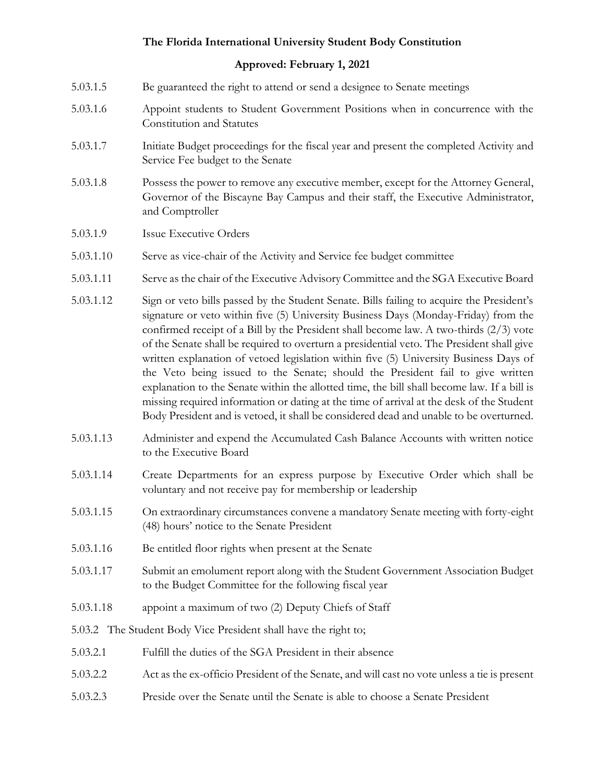- 5.03.1.5 Be guaranteed the right to attend or send a designee to Senate meetings
- 5.03.1.6 Appoint students to Student Government Positions when in concurrence with the Constitution and Statutes
- 5.03.1.7 Initiate Budget proceedings for the fiscal year and present the completed Activity and Service Fee budget to the Senate
- 5.03.1.8 Possess the power to remove any executive member, except for the Attorney General, Governor of the Biscayne Bay Campus and their staff, the Executive Administrator, and Comptroller
- 5.03.1.9 Issue Executive Orders
- 5.03.1.10 Serve as vice-chair of the Activity and Service fee budget committee
- 5.03.1.11 Serve as the chair of the Executive Advisory Committee and the SGA Executive Board
- 5.03.1.12 Sign or veto bills passed by the Student Senate. Bills failing to acquire the President's signature or veto within five (5) University Business Days (Monday-Friday) from the confirmed receipt of a Bill by the President shall become law. A two-thirds (2/3) vote of the Senate shall be required to overturn a presidential veto. The President shall give written explanation of vetoed legislation within five (5) University Business Days of the Veto being issued to the Senate; should the President fail to give written explanation to the Senate within the allotted time, the bill shall become law. If a bill is missing required information or dating at the time of arrival at the desk of the Student Body President and is vetoed, it shall be considered dead and unable to be overturned.
- 5.03.1.13 Administer and expend the Accumulated Cash Balance Accounts with written notice to the Executive Board
- 5.03.1.14 Create Departments for an express purpose by Executive Order which shall be voluntary and not receive pay for membership or leadership
- 5.03.1.15 On extraordinary circumstances convene a mandatory Senate meeting with forty-eight (48) hours' notice to the Senate President
- 5.03.1.16 Be entitled floor rights when present at the Senate
- 5.03.1.17 Submit an emolument report along with the Student Government Association Budget to the Budget Committee for the following fiscal year
- 5.03.1.18 appoint a maximum of two (2) Deputy Chiefs of Staff
- 5.03.2 The Student Body Vice President shall have the right to;
- 5.03.2.1 Fulfill the duties of the SGA President in their absence
- 5.03.2.2 Act as the ex-officio President of the Senate, and will cast no vote unless a tie is present
- 5.03.2.3 Preside over the Senate until the Senate is able to choose a Senate President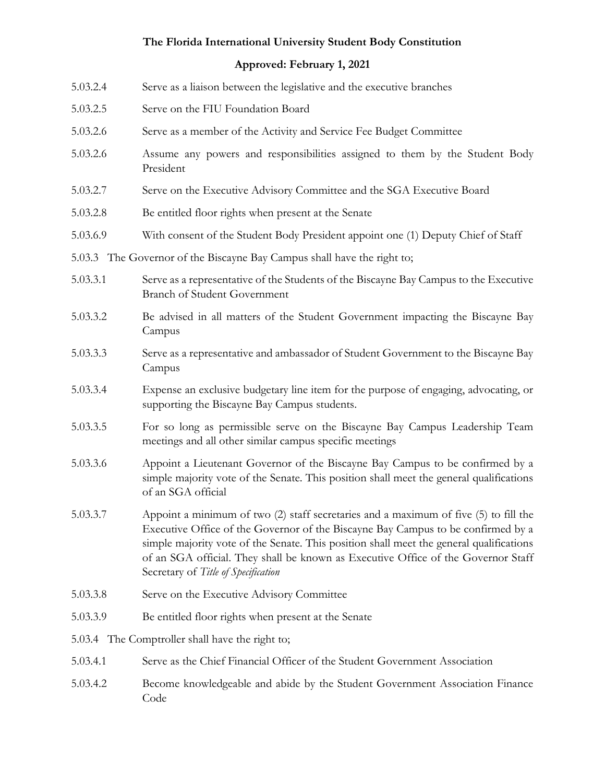| 5.03.2.4                                                                | Serve as a liaison between the legislative and the executive branches                                                                                                                                                                                                                                                                                                                           |  |  |
|-------------------------------------------------------------------------|-------------------------------------------------------------------------------------------------------------------------------------------------------------------------------------------------------------------------------------------------------------------------------------------------------------------------------------------------------------------------------------------------|--|--|
| 5.03.2.5                                                                | Serve on the FIU Foundation Board                                                                                                                                                                                                                                                                                                                                                               |  |  |
| 5.03.2.6                                                                | Serve as a member of the Activity and Service Fee Budget Committee                                                                                                                                                                                                                                                                                                                              |  |  |
| 5.03.2.6                                                                | Assume any powers and responsibilities assigned to them by the Student Body<br>President                                                                                                                                                                                                                                                                                                        |  |  |
| 5.03.2.7                                                                | Serve on the Executive Advisory Committee and the SGA Executive Board                                                                                                                                                                                                                                                                                                                           |  |  |
| 5.03.2.8                                                                | Be entitled floor rights when present at the Senate                                                                                                                                                                                                                                                                                                                                             |  |  |
| 5.03.6.9                                                                | With consent of the Student Body President appoint one (1) Deputy Chief of Staff                                                                                                                                                                                                                                                                                                                |  |  |
| 5.03.3 The Governor of the Biscayne Bay Campus shall have the right to; |                                                                                                                                                                                                                                                                                                                                                                                                 |  |  |
| 5.03.3.1                                                                | Serve as a representative of the Students of the Biscayne Bay Campus to the Executive<br><b>Branch of Student Government</b>                                                                                                                                                                                                                                                                    |  |  |
| 5.03.3.2                                                                | Be advised in all matters of the Student Government impacting the Biscayne Bay<br>Campus                                                                                                                                                                                                                                                                                                        |  |  |
| 5.03.3.3                                                                | Serve as a representative and ambassador of Student Government to the Biscayne Bay<br>Campus                                                                                                                                                                                                                                                                                                    |  |  |
| 5.03.3.4                                                                | Expense an exclusive budgetary line item for the purpose of engaging, advocating, or<br>supporting the Biscayne Bay Campus students.                                                                                                                                                                                                                                                            |  |  |
| 5.03.3.5                                                                | For so long as permissible serve on the Biscayne Bay Campus Leadership Team<br>meetings and all other similar campus specific meetings                                                                                                                                                                                                                                                          |  |  |
| 5.03.3.6                                                                | Appoint a Lieutenant Governor of the Biscayne Bay Campus to be confirmed by a<br>simple majority vote of the Senate. This position shall meet the general qualifications<br>of an SGA official                                                                                                                                                                                                  |  |  |
| 5.03.3.7                                                                | Appoint a minimum of two (2) staff secretaries and a maximum of five (5) to fill the<br>Executive Office of the Governor of the Biscayne Bay Campus to be confirmed by a<br>simple majority vote of the Senate. This position shall meet the general qualifications<br>of an SGA official. They shall be known as Executive Office of the Governor Staff<br>Secretary of Title of Specification |  |  |
| 5.03.3.8                                                                | Serve on the Executive Advisory Committee                                                                                                                                                                                                                                                                                                                                                       |  |  |
| 5.03.3.9                                                                | Be entitled floor rights when present at the Senate                                                                                                                                                                                                                                                                                                                                             |  |  |
|                                                                         | 5.03.4 The Comptroller shall have the right to;                                                                                                                                                                                                                                                                                                                                                 |  |  |
| 5.03.4.1                                                                | Serve as the Chief Financial Officer of the Student Government Association                                                                                                                                                                                                                                                                                                                      |  |  |
| 5.03.4.2                                                                | Become knowledgeable and abide by the Student Government Association Finance<br>Code                                                                                                                                                                                                                                                                                                            |  |  |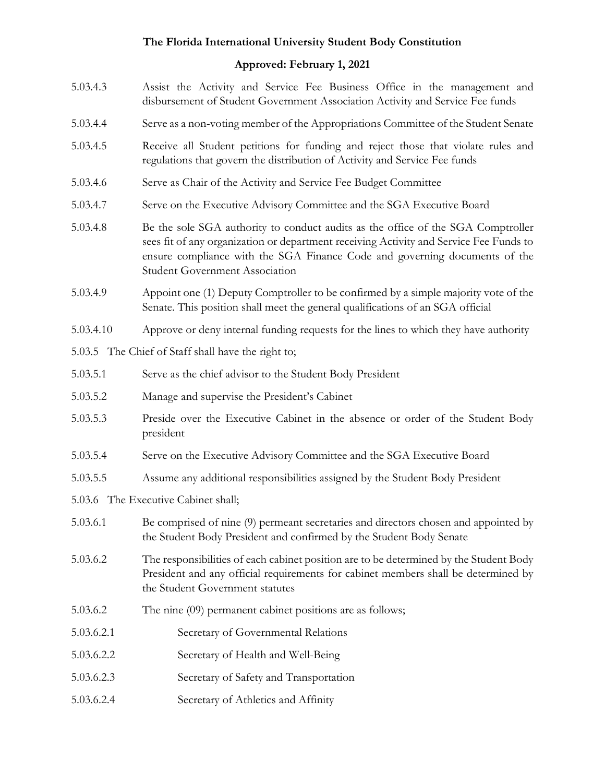- 5.03.4.3 Assist the Activity and Service Fee Business Office in the management and disbursement of Student Government Association Activity and Service Fee funds
- 5.03.4.4 Serve as a non-voting member of the Appropriations Committee of the Student Senate
- 5.03.4.5 Receive all Student petitions for funding and reject those that violate rules and regulations that govern the distribution of Activity and Service Fee funds
- 5.03.4.6 Serve as Chair of the Activity and Service Fee Budget Committee
- 5.03.4.7 Serve on the Executive Advisory Committee and the SGA Executive Board
- 5.03.4.8 Be the sole SGA authority to conduct audits as the office of the SGA Comptroller sees fit of any organization or department receiving Activity and Service Fee Funds to ensure compliance with the SGA Finance Code and governing documents of the Student Government Association
- 5.03.4.9 Appoint one (1) Deputy Comptroller to be confirmed by a simple majority vote of the Senate. This position shall meet the general qualifications of an SGA official
- 5.03.4.10 Approve or deny internal funding requests for the lines to which they have authority
- 5.03.5 The Chief of Staff shall have the right to;
- 5.03.5.1 Serve as the chief advisor to the Student Body President
- 5.03.5.2 Manage and supervise the President's Cabinet
- 5.03.5.3 Preside over the Executive Cabinet in the absence or order of the Student Body president
- 5.03.5.4 Serve on the Executive Advisory Committee and the SGA Executive Board
- 5.03.5.5 Assume any additional responsibilities assigned by the Student Body President
- 5.03.6 The Executive Cabinet shall;
- 5.03.6.1 Be comprised of nine (9) permeant secretaries and directors chosen and appointed by the Student Body President and confirmed by the Student Body Senate
- 5.03.6.2 The responsibilities of each cabinet position are to be determined by the Student Body President and any official requirements for cabinet members shall be determined by the Student Government statutes
- 5.03.6.2 The nine (09) permanent cabinet positions are as follows;
- 5.03.6.2.1 Secretary of Governmental Relations
- 5.03.6.2.2 Secretary of Health and Well-Being
- 5.03.6.2.3 Secretary of Safety and Transportation
- 5.03.6.2.4 Secretary of Athletics and Affinity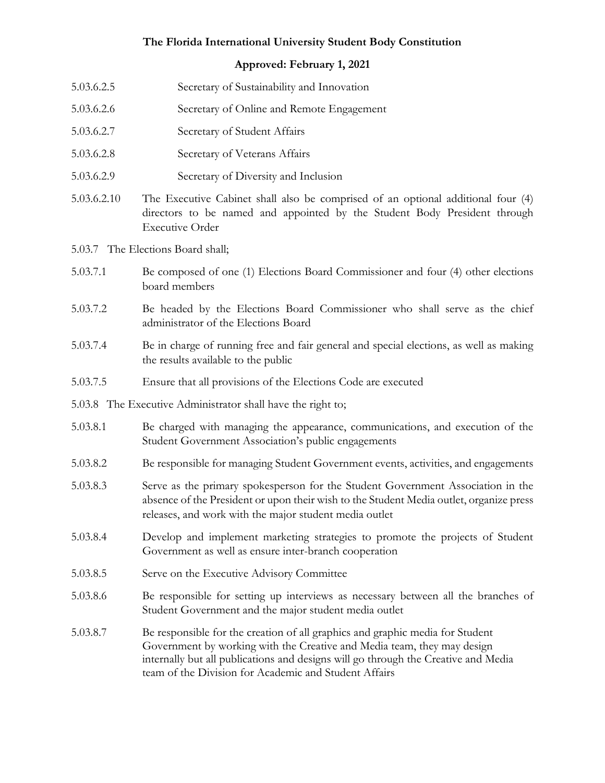- 5.03.6.2.5 Secretary of Sustainability and Innovation
- 5.03.6.2.6 Secretary of Online and Remote Engagement
- 5.03.6.2.7 Secretary of Student Affairs
- 5.03.6.2.8 Secretary of Veterans Affairs
- 5.03.6.2.9 Secretary of Diversity and Inclusion
- 5.03.6.2.10 The Executive Cabinet shall also be comprised of an optional additional four (4) directors to be named and appointed by the Student Body President through Executive Order
- 5.03.7 The Elections Board shall;
- 5.03.7.1 Be composed of one (1) Elections Board Commissioner and four (4) other elections board members
- 5.03.7.2 Be headed by the Elections Board Commissioner who shall serve as the chief administrator of the Elections Board
- 5.03.7.4 Be in charge of running free and fair general and special elections, as well as making the results available to the public
- 5.03.7.5 Ensure that all provisions of the Elections Code are executed
- 5.03.8 The Executive Administrator shall have the right to;
- 5.03.8.1 Be charged with managing the appearance, communications, and execution of the Student Government Association's public engagements
- 5.03.8.2 Be responsible for managing Student Government events, activities, and engagements
- 5.03.8.3 Serve as the primary spokesperson for the Student Government Association in the absence of the President or upon their wish to the Student Media outlet, organize press releases, and work with the major student media outlet
- 5.03.8.4 Develop and implement marketing strategies to promote the projects of Student Government as well as ensure inter-branch cooperation
- 5.03.8.5 Serve on the Executive Advisory Committee
- 5.03.8.6 Be responsible for setting up interviews as necessary between all the branches of Student Government and the major student media outlet
- 5.03.8.7 Be responsible for the creation of all graphics and graphic media for Student Government by working with the Creative and Media team, they may design internally but all publications and designs will go through the Creative and Media team of the Division for Academic and Student Affairs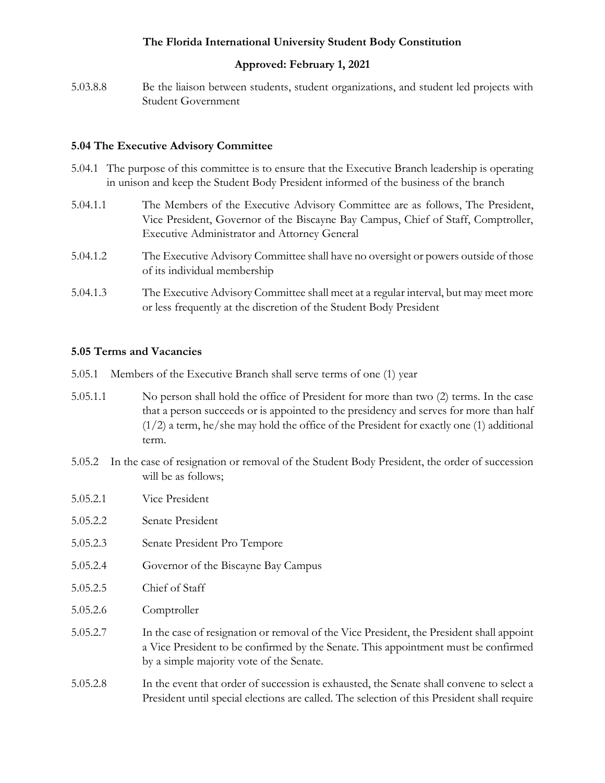## **Approved: February 1, 2021**

5.03.8.8 Be the liaison between students, student organizations, and student led projects with Student Government

### <span id="page-18-0"></span>**5.04 The Executive Advisory Committee**

- 5.04.1 The purpose of this committee is to ensure that the Executive Branch leadership is operating in unison and keep the Student Body President informed of the business of the branch
- 5.04.1.1 The Members of the Executive Advisory Committee are as follows, The President, Vice President, Governor of the Biscayne Bay Campus, Chief of Staff, Comptroller, Executive Administrator and Attorney General
- 5.04.1.2 The Executive Advisory Committee shall have no oversight or powers outside of those of its individual membership
- 5.04.1.3 The Executive Advisory Committee shall meet at a regular interval, but may meet more or less frequently at the discretion of the Student Body President

### <span id="page-18-1"></span>**5.05 Terms and Vacancies**

- 5.05.1 Members of the Executive Branch shall serve terms of one (1) year
- 5.05.1.1 No person shall hold the office of President for more than two (2) terms. In the case that a person succeeds or is appointed to the presidency and serves for more than half (1/2) a term, he/she may hold the office of the President for exactly one (1) additional term.
- 5.05.2 In the case of resignation or removal of the Student Body President, the order of succession will be as follows;
- 5.05.2.1 Vice President
- 5.05.2.2 Senate President
- 5.05.2.3 Senate President Pro Tempore
- 5.05.2.4 Governor of the Biscayne Bay Campus
- 5.05.2.5 Chief of Staff
- 5.05.2.6 Comptroller
- 5.05.2.7 In the case of resignation or removal of the Vice President, the President shall appoint a Vice President to be confirmed by the Senate. This appointment must be confirmed by a simple majority vote of the Senate.
- 5.05.2.8 In the event that order of succession is exhausted, the Senate shall convene to select a President until special elections are called. The selection of this President shall require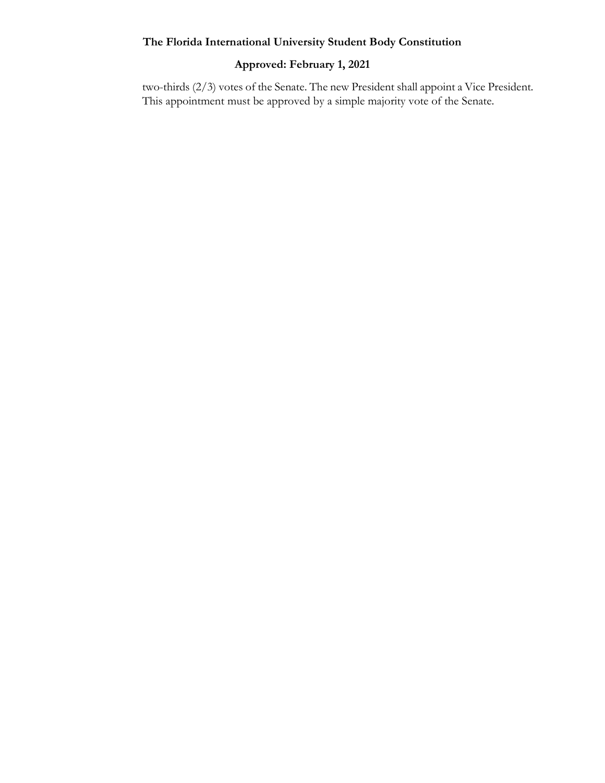# <span id="page-19-0"></span>**Approved: February 1, 2021**

two-thirds (2/3) votes of the Senate. The new President shall appoint a Vice President. This appointment must be approved by a simple majority vote of the Senate.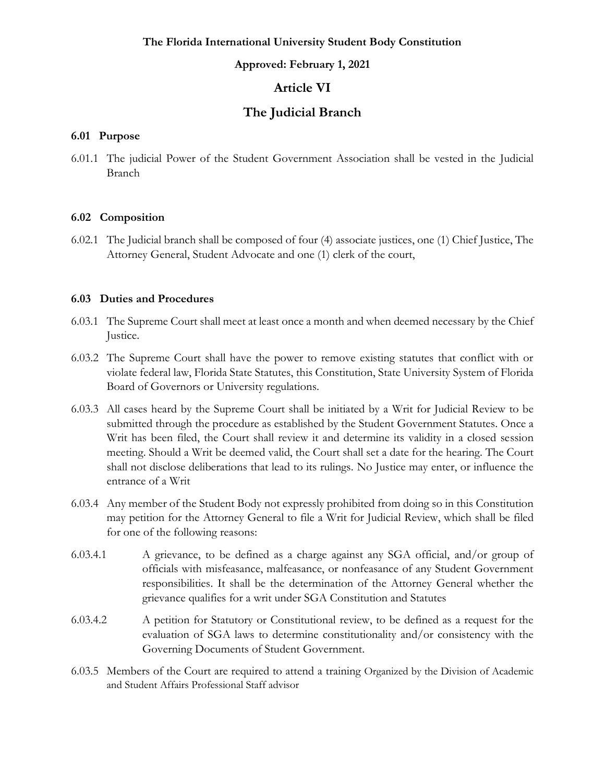### **Approved: February 1, 2021**

# **Article VI**

# **The Judicial Branch**

### <span id="page-20-0"></span>**6.01 Purpose**

6.01.1 The judicial Power of the Student Government Association shall be vested in the Judicial Branch

### <span id="page-20-1"></span>**6.02 Composition**

6.02.1 The Judicial branch shall be composed of four (4) associate justices, one (1) Chief Justice, The Attorney General, Student Advocate and one (1) clerk of the court,

### <span id="page-20-2"></span>**6.03 Duties and Procedures**

- 6.03.1 The Supreme Court shall meet at least once a month and when deemed necessary by the Chief Justice.
- 6.03.2 The Supreme Court shall have the power to remove existing statutes that conflict with or violate federal law, Florida State Statutes, this Constitution, State University System of Florida Board of Governors or University regulations.
- 6.03.3 All cases heard by the Supreme Court shall be initiated by a Writ for Judicial Review to be submitted through the procedure as established by the Student Government Statutes. Once a Writ has been filed, the Court shall review it and determine its validity in a closed session meeting. Should a Writ be deemed valid, the Court shall set a date for the hearing. The Court shall not disclose deliberations that lead to its rulings. No Justice may enter, or influence the entrance of a Writ
- 6.03.4 Any member of the Student Body not expressly prohibited from doing so in this Constitution may petition for the Attorney General to file a Writ for Judicial Review, which shall be filed for one of the following reasons:
- 6.03.4.1 A grievance, to be defined as a charge against any SGA official, and/or group of officials with misfeasance, malfeasance, or nonfeasance of any Student Government responsibilities. It shall be the determination of the Attorney General whether the grievance qualifies for a writ under SGA Constitution and Statutes
- 6.03.4.2 A petition for Statutory or Constitutional review, to be defined as a request for the evaluation of SGA laws to determine constitutionality and/or consistency with the Governing Documents of Student Government.
- 6.03.5 Members of the Court are required to attend a training Organized by the Division of Academic and Student Affairs Professional Staff advisor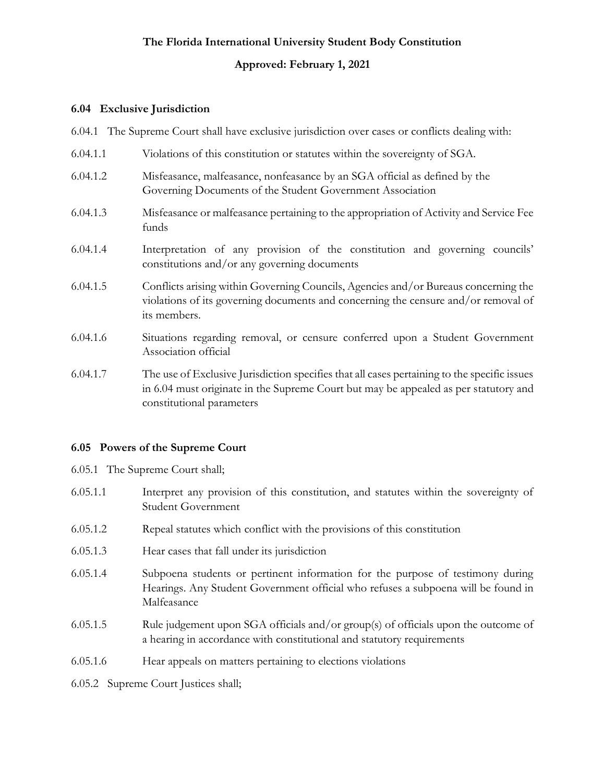### **Approved: February 1, 2021**

#### <span id="page-21-0"></span>**6.04 Exclusive Jurisdiction**

- 6.04.1 The Supreme Court shall have exclusive jurisdiction over cases or conflicts dealing with:
- 6.04.1.1 Violations of this constitution or statutes within the sovereignty of SGA.
- 6.04.1.2 Misfeasance, malfeasance, nonfeasance by an SGA official as defined by the Governing Documents of the Student Government Association
- 6.04.1.3 Misfeasance or malfeasance pertaining to the appropriation of Activity and Service Fee funds
- 6.04.1.4 Interpretation of any provision of the constitution and governing councils' constitutions and/or any governing documents
- 6.04.1.5 Conflicts arising within Governing Councils, Agencies and/or Bureaus concerning the violations of its governing documents and concerning the censure and/or removal of its members.
- 6.04.1.6 Situations regarding removal, or censure conferred upon a Student Government Association official
- 6.04.1.7 The use of Exclusive Jurisdiction specifies that all cases pertaining to the specific issues in 6.04 must originate in the Supreme Court but may be appealed as per statutory and constitutional parameters

### <span id="page-21-1"></span>**6.05 Powers of the Supreme Court**

- 6.05.1 The Supreme Court shall;
- 6.05.1.1 Interpret any provision of this constitution, and statutes within the sovereignty of Student Government
- 6.05.1.2 Repeal statutes which conflict with the provisions of this constitution
- 6.05.1.3 Hear cases that fall under its jurisdiction
- 6.05.1.4 Subpoena students or pertinent information for the purpose of testimony during Hearings. Any Student Government official who refuses a subpoena will be found in Malfeasance
- 6.05.1.5 Rule judgement upon SGA officials and/or group(s) of officials upon the outcome of a hearing in accordance with constitutional and statutory requirements
- 6.05.1.6 Hear appeals on matters pertaining to elections violations
- 6.05.2 Supreme Court Justices shall;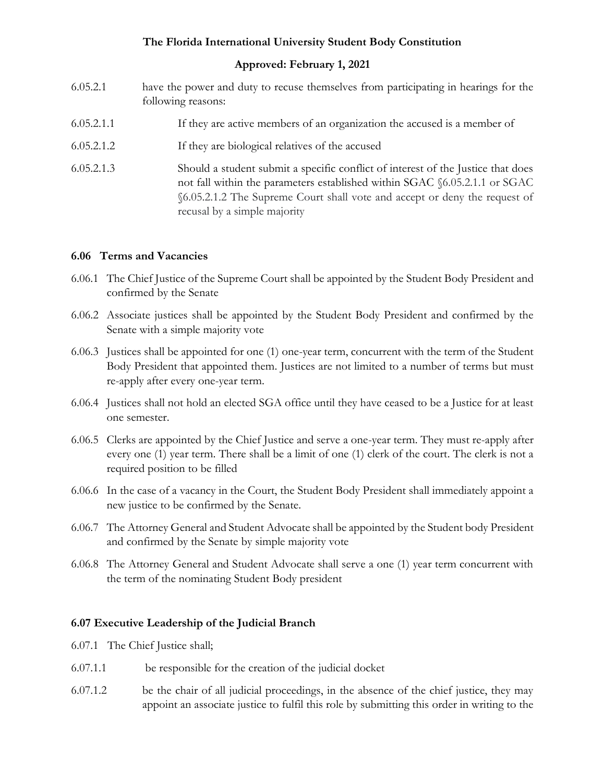### **Approved: February 1, 2021**

- 6.05.2.1 have the power and duty to recuse themselves from participating in hearings for the following reasons:
- 6.05.2.1.1 If they are active members of an organization the accused is a member of
- 6.05.2.1.2 If they are biological relatives of the accused
- 6.05.2.1.3 Should a student submit a specific conflict of interest of the Justice that does not fall within the parameters established within SGAC §6.05.2.1.1 or SGAC §6.05.2.1.2 The Supreme Court shall vote and accept or deny the request of recusal by a simple majority

### <span id="page-22-0"></span>**6.06 Terms and Vacancies**

- 6.06.1 The Chief Justice of the Supreme Court shall be appointed by the Student Body President and confirmed by the Senate
- 6.06.2 Associate justices shall be appointed by the Student Body President and confirmed by the Senate with a simple majority vote
- 6.06.3 Justices shall be appointed for one (1) one-year term, concurrent with the term of the Student Body President that appointed them. Justices are not limited to a number of terms but must re-apply after every one-year term.
- 6.06.4 Justices shall not hold an elected SGA office until they have ceased to be a Justice for at least one semester.
- 6.06.5 Clerks are appointed by the Chief Justice and serve a one-year term. They must re-apply after every one (1) year term. There shall be a limit of one (1) clerk of the court. The clerk is not a required position to be filled
- 6.06.6 In the case of a vacancy in the Court, the Student Body President shall immediately appoint a new justice to be confirmed by the Senate.
- 6.06.7 The Attorney General and Student Advocate shall be appointed by the Student body President and confirmed by the Senate by simple majority vote
- 6.06.8 The Attorney General and Student Advocate shall serve a one (1) year term concurrent with the term of the nominating Student Body president

### <span id="page-22-1"></span>**6.07 Executive Leadership of the Judicial Branch**

- 6.07.1 The Chief Justice shall;
- 6.07.1.1 be responsible for the creation of the judicial docket
- 6.07.1.2 be the chair of all judicial proceedings, in the absence of the chief justice, they may appoint an associate justice to fulfil this role by submitting this order in writing to the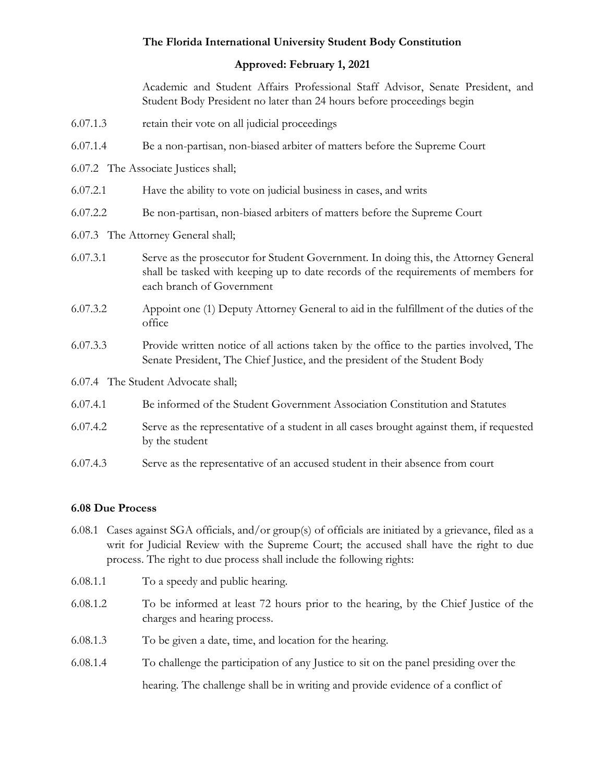### **Approved: February 1, 2021**

Academic and Student Affairs Professional Staff Advisor, Senate President, and Student Body President no later than 24 hours before proceedings begin

- 6.07.1.3 retain their vote on all judicial proceedings
- 6.07.1.4 Be a non-partisan, non-biased arbiter of matters before the Supreme Court
- 6.07.2 The Associate Justices shall;
- 6.07.2.1 Have the ability to vote on judicial business in cases, and writs
- 6.07.2.2 Be non-partisan, non-biased arbiters of matters before the Supreme Court
- 6.07.3 The Attorney General shall;
- 6.07.3.1 Serve as the prosecutor for Student Government. In doing this, the Attorney General shall be tasked with keeping up to date records of the requirements of members for each branch of Government
- 6.07.3.2 Appoint one (1) Deputy Attorney General to aid in the fulfillment of the duties of the office
- 6.07.3.3 Provide written notice of all actions taken by the office to the parties involved, The Senate President, The Chief Justice, and the president of the Student Body
- 6.07.4 The Student Advocate shall;
- 6.07.4.1 Be informed of the Student Government Association Constitution and Statutes
- 6.07.4.2 Serve as the representative of a student in all cases brought against them, if requested by the student
- 6.07.4.3 Serve as the representative of an accused student in their absence from court

### <span id="page-23-0"></span>**6.08 Due Process**

- 6.08.1 Cases against SGA officials, and/or group(s) of officials are initiated by a grievance, filed as a writ for Judicial Review with the Supreme Court; the accused shall have the right to due process. The right to due process shall include the following rights:
- 6.08.1.1 To a speedy and public hearing.
- 6.08.1.2 To be informed at least 72 hours prior to the hearing, by the Chief Justice of the charges and hearing process.
- 6.08.1.3 To be given a date, time, and location for the hearing.
- 6.08.1.4 To challenge the participation of any Justice to sit on the panel presiding over the hearing. The challenge shall be in writing and provide evidence of a conflict of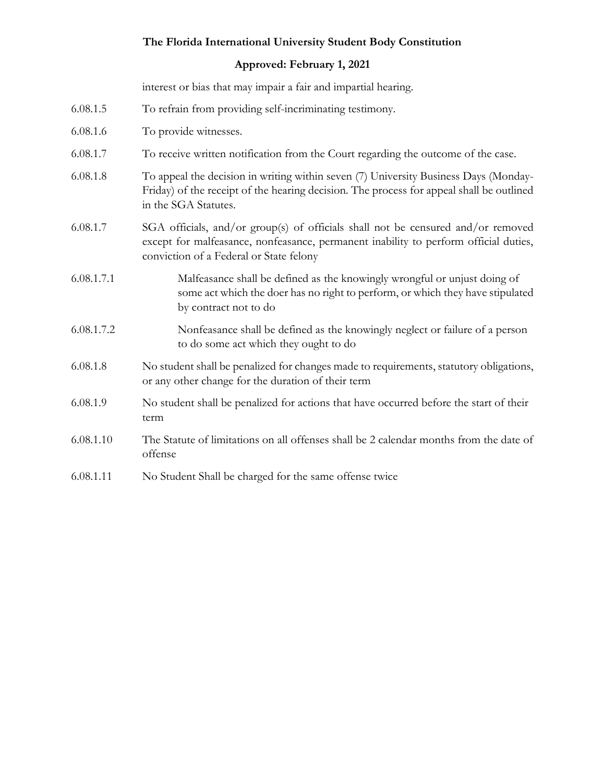### **Approved: February 1, 2021**

interest or bias that may impair a fair and impartial hearing.

- 6.08.1.5 To refrain from providing self-incriminating testimony.
- 6.08.1.6 To provide witnesses.
- 6.08.1.7 To receive written notification from the Court regarding the outcome of the case.
- 6.08.1.8 To appeal the decision in writing within seven (7) University Business Days (Monday-Friday) of the receipt of the hearing decision. The process for appeal shall be outlined in the SGA Statutes.
- 6.08.1.7 SGA officials, and/or group(s) of officials shall not be censured and/or removed except for malfeasance, nonfeasance, permanent inability to perform official duties, conviction of a Federal or State felony
- 6.08.1.7.1 Malfeasance shall be defined as the knowingly wrongful or unjust doing of some act which the doer has no right to perform, or which they have stipulated by contract not to do
- 6.08.1.7.2 Nonfeasance shall be defined as the knowingly neglect or failure of a person to do some act which they ought to do
- 6.08.1.8 No student shall be penalized for changes made to requirements, statutory obligations, or any other change for the duration of their term
- 6.08.1.9 No student shall be penalized for actions that have occurred before the start of their term
- 6.08.1.10 The Statute of limitations on all offenses shall be 2 calendar months from the date of offense
- 6.08.1.11 No Student Shall be charged for the same offense twice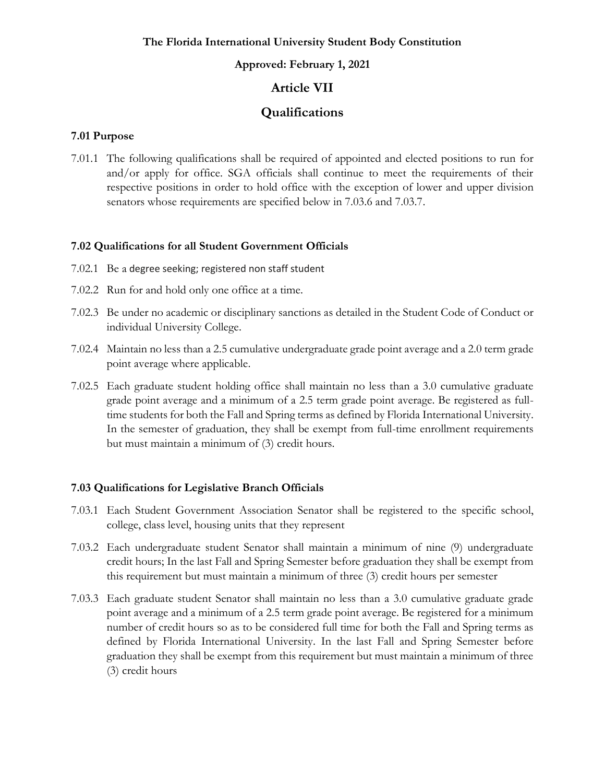#### **Approved: February 1, 2021**

# **Article VII**

# **Qualifications**

#### <span id="page-25-1"></span><span id="page-25-0"></span>**7.01 Purpose**

7.01.1 The following qualifications shall be required of appointed and elected positions to run for and/or apply for office. SGA officials shall continue to meet the requirements of their respective positions in order to hold office with the exception of lower and upper division senators whose requirements are specified below in 7.03.6 and 7.03.7.

#### <span id="page-25-2"></span>**7.02 Qualifications for all Student Government Officials**

- 7.02.1 Be a degree seeking; registered non staff student
- 7.02.2 Run for and hold only one office at a time.
- 7.02.3 Be under no academic or disciplinary sanctions as detailed in the Student Code of Conduct or individual University College.
- 7.02.4 Maintain no less than a 2.5 cumulative undergraduate grade point average and a 2.0 term grade point average where applicable.
- <span id="page-25-3"></span>7.02.5 Each graduate student holding office shall maintain no less than a 3.0 cumulative graduate grade point average and a minimum of a 2.5 term grade point average. Be registered as fulltime students for both the Fall and Spring terms as defined by Florida International University. In the semester of graduation, they shall be exempt from full-time enrollment requirements but must maintain a minimum of (3) credit hours.

### **7.03 Qualifications for Legislative Branch Officials**

- 7.03.1 Each Student Government Association Senator shall be registered to the specific school, college, class level, housing units that they represent
- 7.03.2 Each undergraduate student Senator shall maintain a minimum of nine (9) undergraduate credit hours; In the last Fall and Spring Semester before graduation they shall be exempt from this requirement but must maintain a minimum of three (3) credit hours per semester
- 7.03.3 Each graduate student Senator shall maintain no less than a 3.0 cumulative graduate grade point average and a minimum of a 2.5 term grade point average. Be registered for a minimum number of credit hours so as to be considered full time for both the Fall and Spring terms as defined by Florida International University. In the last Fall and Spring Semester before graduation they shall be exempt from this requirement but must maintain a minimum of three (3) credit hours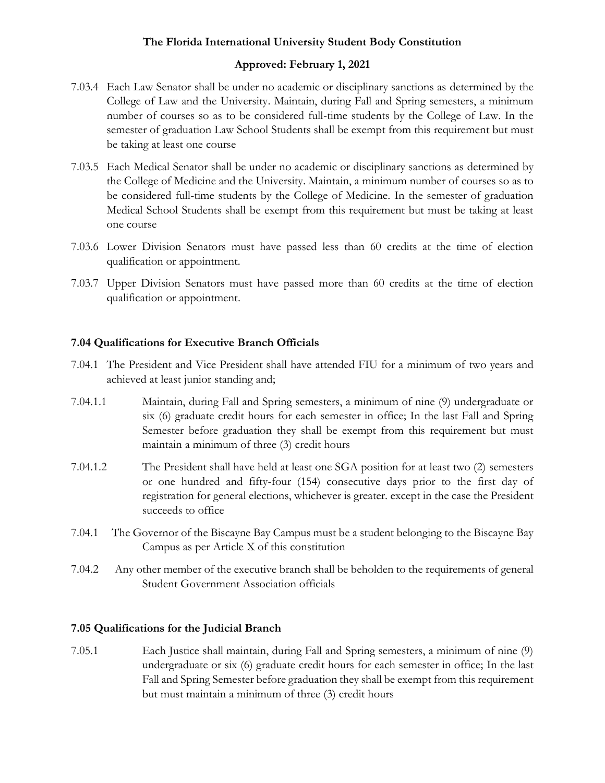### **Approved: February 1, 2021**

- 7.03.4 Each Law Senator shall be under no academic or disciplinary sanctions as determined by the College of Law and the University. Maintain, during Fall and Spring semesters, a minimum number of courses so as to be considered full-time students by the College of Law. In the semester of graduation Law School Students shall be exempt from this requirement but must be taking at least one course
- 7.03.5 Each Medical Senator shall be under no academic or disciplinary sanctions as determined by the College of Medicine and the University. Maintain, a minimum number of courses so as to be considered full-time students by the College of Medicine. In the semester of graduation Medical School Students shall be exempt from this requirement but must be taking at least one course
- 7.03.6 Lower Division Senators must have passed less than 60 credits at the time of election qualification or appointment.
- 7.03.7 Upper Division Senators must have passed more than 60 credits at the time of election qualification or appointment.

### <span id="page-26-0"></span>**7.04 Qualifications for Executive Branch Officials**

- 7.04.1 The President and Vice President shall have attended FIU for a minimum of two years and achieved at least junior standing and;
- 7.04.1.1 Maintain, during Fall and Spring semesters, a minimum of nine (9) undergraduate or six (6) graduate credit hours for each semester in office; In the last Fall and Spring Semester before graduation they shall be exempt from this requirement but must maintain a minimum of three (3) credit hours
- 7.04.1.2 The President shall have held at least one SGA position for at least two (2) semesters or one hundred and fifty-four (154) consecutive days prior to the first day of registration for general elections, whichever is greater. except in the case the President succeeds to office
- 7.04.1 The Governor of the Biscayne Bay Campus must be a student belonging to the Biscayne Bay Campus as per Article X of this constitution
- 7.04.2 Any other member of the executive branch shall be beholden to the requirements of general Student Government Association officials

### <span id="page-26-1"></span>**7.05 Qualifications for the Judicial Branch**

7.05.1 Each Justice shall maintain, during Fall and Spring semesters, a minimum of nine (9) undergraduate or six (6) graduate credit hours for each semester in office; In the last Fall and Spring Semester before graduation they shall be exempt from this requirement but must maintain a minimum of three (3) credit hours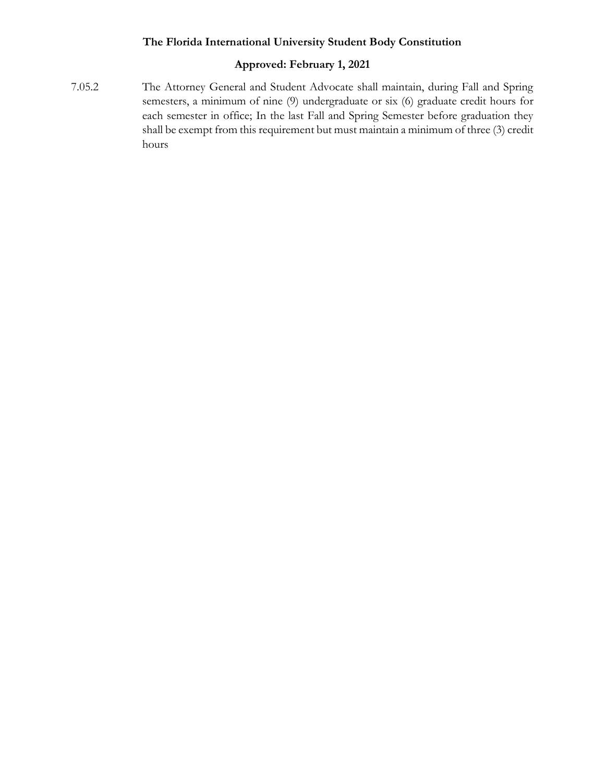# <span id="page-27-0"></span>**Approved: February 1, 2021**

7.05.2 The Attorney General and Student Advocate shall maintain, during Fall and Spring semesters, a minimum of nine (9) undergraduate or six (6) graduate credit hours for each semester in office; In the last Fall and Spring Semester before graduation they shall be exempt from this requirement but must maintain a minimum of three (3) credit hours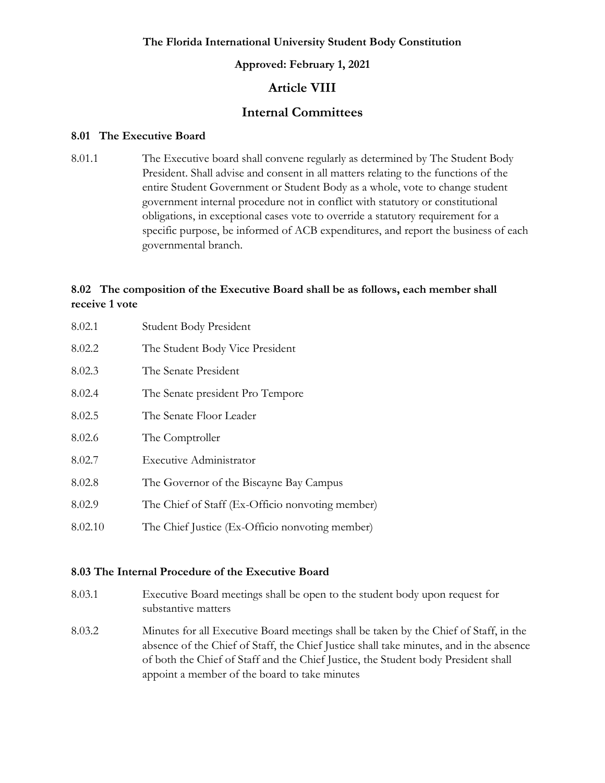#### **Approved: February 1, 2021**

# **Article VIII**

# **Internal Committees**

#### <span id="page-28-0"></span>**8.01 The Executive Board**

8.01.1 The Executive board shall convene regularly as determined by The Student Body President. Shall advise and consent in all matters relating to the functions of the entire Student Government or Student Body as a whole, vote to change student government internal procedure not in conflict with statutory or constitutional obligations, in exceptional cases vote to override a statutory requirement for a specific purpose, be informed of ACB expenditures, and report the business of each governmental branch.

# <span id="page-28-1"></span>**8.02 The composition of the Executive Board shall be as follows, each member shall receive 1 vote**

8.02.1 Student Body President 8.02.2 The Student Body Vice President 8.02.3 The Senate President 8.02.4 The Senate president Pro Tempore 8.02.5 The Senate Floor Leader 8.02.6 The Comptroller 8.02.7 Executive Administrator 8.02.8 The Governor of the Biscayne Bay Campus 8.02.9 The Chief of Staff (Ex-Officio nonvoting member) 8.02.10 The Chief Justice (Ex-Officio nonvoting member)

### <span id="page-28-2"></span>**8.03 The Internal Procedure of the Executive Board**

- 8.03.1 Executive Board meetings shall be open to the student body upon request for substantive matters
- 8.03.2 Minutes for all Executive Board meetings shall be taken by the Chief of Staff, in the absence of the Chief of Staff, the Chief Justice shall take minutes, and in the absence of both the Chief of Staff and the Chief Justice, the Student body President shall appoint a member of the board to take minutes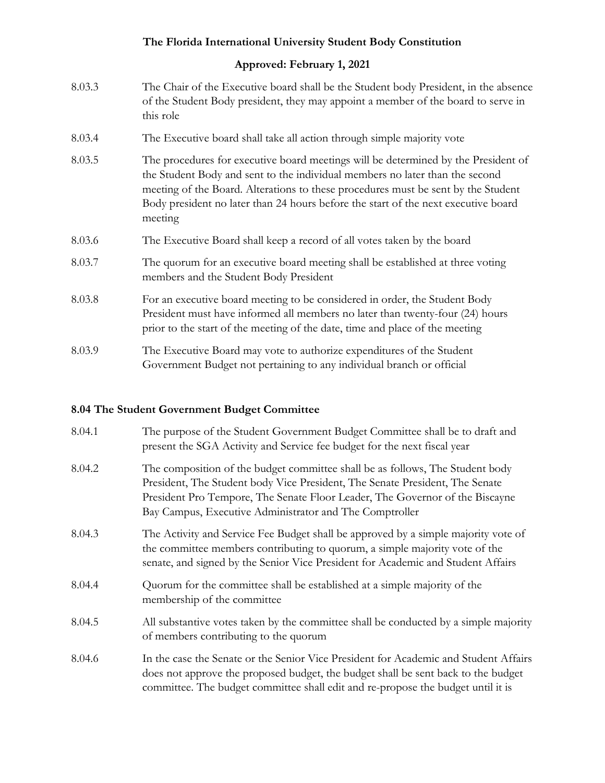### **Approved: February 1, 2021**

- 8.03.3 The Chair of the Executive board shall be the Student body President, in the absence of the Student Body president, they may appoint a member of the board to serve in this role
- 8.03.4 The Executive board shall take all action through simple majority vote
- 8.03.5 The procedures for executive board meetings will be determined by the President of the Student Body and sent to the individual members no later than the second meeting of the Board. Alterations to these procedures must be sent by the Student Body president no later than 24 hours before the start of the next executive board meeting
- 8.03.6 The Executive Board shall keep a record of all votes taken by the board
- 8.03.7 The quorum for an executive board meeting shall be established at three voting members and the Student Body President
- 8.03.8 For an executive board meeting to be considered in order, the Student Body President must have informed all members no later than twenty-four (24) hours prior to the start of the meeting of the date, time and place of the meeting
- 8.03.9 The Executive Board may vote to authorize expenditures of the Student Government Budget not pertaining to any individual branch or official

### <span id="page-29-0"></span>**8.04 The Student Government Budget Committee**

| 8.04.1 | The purpose of the Student Government Budget Committee shall be to draft and<br>present the SGA Activity and Service fee budget for the next fiscal year                                                                                                                                                 |
|--------|----------------------------------------------------------------------------------------------------------------------------------------------------------------------------------------------------------------------------------------------------------------------------------------------------------|
| 8.04.2 | The composition of the budget committee shall be as follows, The Student body<br>President, The Student body Vice President, The Senate President, The Senate<br>President Pro Tempore, The Senate Floor Leader, The Governor of the Biscayne<br>Bay Campus, Executive Administrator and The Comptroller |
| 8.04.3 | The Activity and Service Fee Budget shall be approved by a simple majority vote of<br>the committee members contributing to quorum, a simple majority vote of the<br>senate, and signed by the Senior Vice President for Academic and Student Affairs                                                    |
| 8.04.4 | Quorum for the committee shall be established at a simple majority of the<br>membership of the committee                                                                                                                                                                                                 |
| 8.04.5 | All substantive votes taken by the committee shall be conducted by a simple majority<br>of members contributing to the quorum                                                                                                                                                                            |
| 8.04.6 | In the case the Senate or the Senior Vice President for Academic and Student Affairs<br>does not approve the proposed budget, the budget shall be sent back to the budget<br>committee. The budget committee shall edit and re-propose the budget until it is                                            |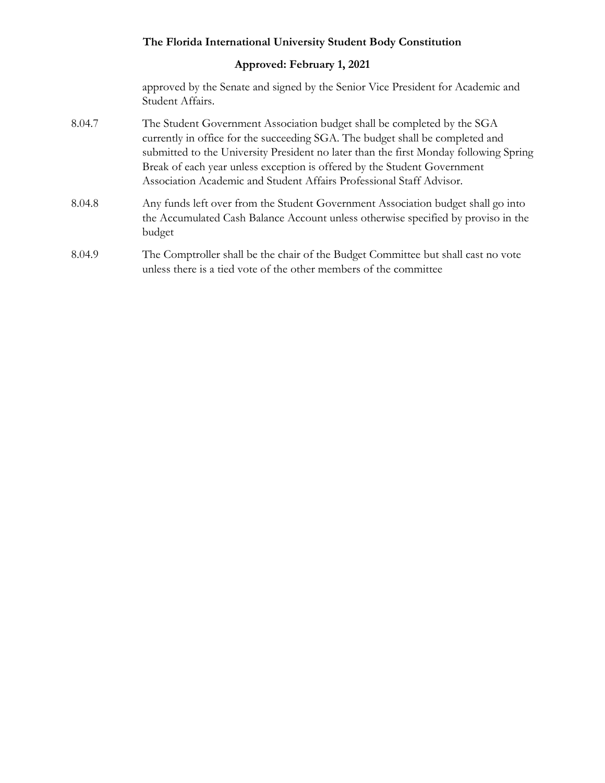## **Approved: February 1, 2021**

approved by the Senate and signed by the Senior Vice President for Academic and Student Affairs.

- 8.04.7 The Student Government Association budget shall be completed by the SGA currently in office for the succeeding SGA. The budget shall be completed and submitted to the University President no later than the first Monday following Spring Break of each year unless exception is offered by the Student Government Association Academic and Student Affairs Professional Staff Advisor.
- 8.04.8 Any funds left over from the Student Government Association budget shall go into the Accumulated Cash Balance Account unless otherwise specified by proviso in the budget
- 8.04.9 The Comptroller shall be the chair of the Budget Committee but shall cast no vote unless there is a tied vote of the other members of the committee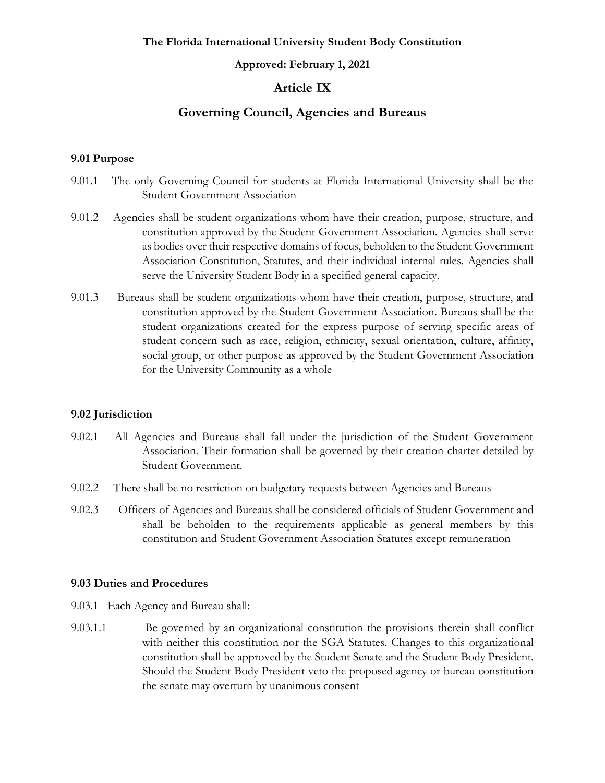#### **Approved: February 1, 2021**

### **Article IX**

## **Governing Council, Agencies and Bureaus**

#### <span id="page-31-1"></span><span id="page-31-0"></span>**9.01 Purpose**

- 9.01.1 The only Governing Council for students at Florida International University shall be the Student Government Association
- 9.01.2 Agencies shall be student organizations whom have their creation, purpose, structure, and constitution approved by the Student Government Association. Agencies shall serve as bodies over their respective domains of focus, beholden to the Student Government Association Constitution, Statutes, and their individual internal rules. Agencies shall serve the University Student Body in a specified general capacity.
- 9.01.3 Bureaus shall be student organizations whom have their creation, purpose, structure, and constitution approved by the Student Government Association. Bureaus shall be the student organizations created for the express purpose of serving specific areas of student concern such as race, religion, ethnicity, sexual orientation, culture, affinity, social group, or other purpose as approved by the Student Government Association for the University Community as a whole

#### <span id="page-31-2"></span>**9.02 Jurisdiction**

- 9.02.1 All Agencies and Bureaus shall fall under the jurisdiction of the Student Government Association. Their formation shall be governed by their creation charter detailed by Student Government.
- 9.02.2 There shall be no restriction on budgetary requests between Agencies and Bureaus
- 9.02.3 Officers of Agencies and Bureaus shall be considered officials of Student Government and shall be beholden to the requirements applicable as general members by this constitution and Student Government Association Statutes except remuneration

#### <span id="page-31-3"></span>**9.03 Duties and Procedures**

- 9.03.1 Each Agency and Bureau shall:
- 9.03.1.1 Be governed by an organizational constitution the provisions therein shall conflict with neither this constitution nor the SGA Statutes. Changes to this organizational constitution shall be approved by the Student Senate and the Student Body President. Should the Student Body President veto the proposed agency or bureau constitution the senate may overturn by unanimous consent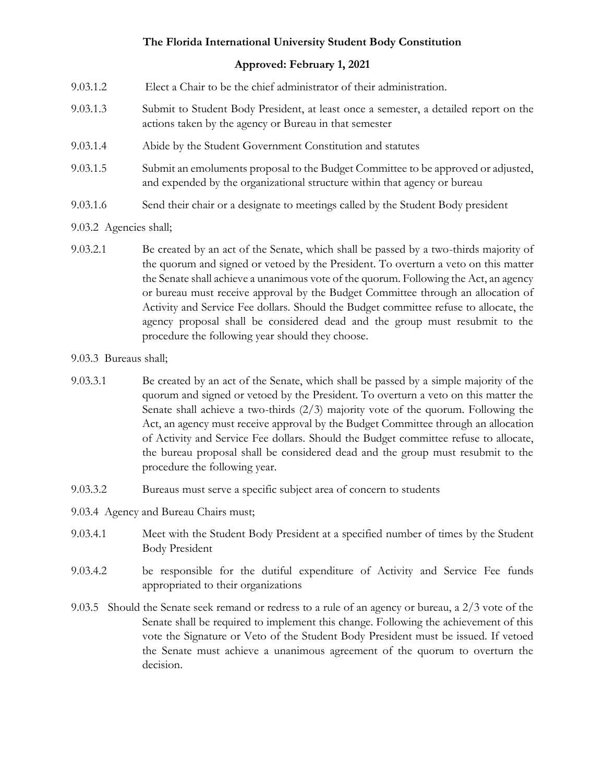- 9.03.1.2 Elect a Chair to be the chief administrator of their administration.
- 9.03.1.3 Submit to Student Body President, at least once a semester, a detailed report on the actions taken by the agency or Bureau in that semester
- 9.03.1.4 Abide by the Student Government Constitution and statutes
- 9.03.1.5 Submit an emoluments proposal to the Budget Committee to be approved or adjusted, and expended by the organizational structure within that agency or bureau
- 9.03.1.6 Send their chair or a designate to meetings called by the Student Body president
- 9.03.2 Agencies shall;
- 9.03.2.1 Be created by an act of the Senate, which shall be passed by a two-thirds majority of the quorum and signed or vetoed by the President. To overturn a veto on this matter the Senate shall achieve a unanimous vote of the quorum. Following the Act, an agency or bureau must receive approval by the Budget Committee through an allocation of Activity and Service Fee dollars. Should the Budget committee refuse to allocate, the agency proposal shall be considered dead and the group must resubmit to the procedure the following year should they choose.
- 9.03.3 Bureaus shall;
- 9.03.3.1 Be created by an act of the Senate, which shall be passed by a simple majority of the quorum and signed or vetoed by the President. To overturn a veto on this matter the Senate shall achieve a two-thirds  $(2/3)$  majority vote of the quorum. Following the Act, an agency must receive approval by the Budget Committee through an allocation of Activity and Service Fee dollars. Should the Budget committee refuse to allocate, the bureau proposal shall be considered dead and the group must resubmit to the procedure the following year.
- 9.03.3.2 Bureaus must serve a specific subject area of concern to students
- 9.03.4 Agency and Bureau Chairs must;
- 9.03.4.1 Meet with the Student Body President at a specified number of times by the Student Body President
- 9.03.4.2 be responsible for the dutiful expenditure of Activity and Service Fee funds appropriated to their organizations
- 9.03.5 Should the Senate seek remand or redress to a rule of an agency or bureau, a 2/3 vote of the Senate shall be required to implement this change. Following the achievement of this vote the Signature or Veto of the Student Body President must be issued. If vetoed the Senate must achieve a unanimous agreement of the quorum to overturn the decision.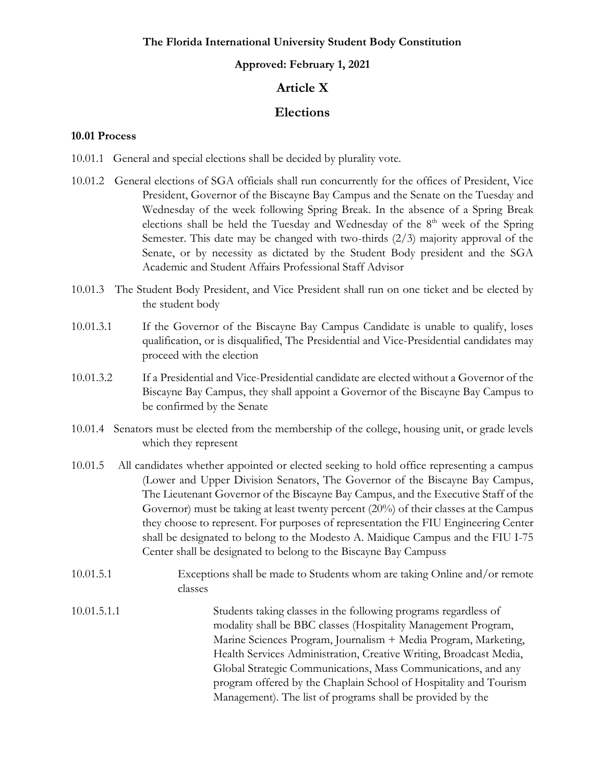#### **Approved: February 1, 2021**

# **Article X**

### **Elections**

#### <span id="page-33-1"></span><span id="page-33-0"></span>**10.01 Process**

10.01.1 General and special elections shall be decided by plurality vote.

- 10.01.2 General elections of SGA officials shall run concurrently for the offices of President, Vice President, Governor of the Biscayne Bay Campus and the Senate on the Tuesday and Wednesday of the week following Spring Break. In the absence of a Spring Break elections shall be held the Tuesday and Wednesday of the 8<sup>th</sup> week of the Spring Semester. This date may be changed with two-thirds (2/3) majority approval of the Senate, or by necessity as dictated by the Student Body president and the SGA Academic and Student Affairs Professional Staff Advisor
- 10.01.3 The Student Body President, and Vice President shall run on one ticket and be elected by the student body
- 10.01.3.1 If the Governor of the Biscayne Bay Campus Candidate is unable to qualify, loses qualification, or is disqualified, The Presidential and Vice-Presidential candidates may proceed with the election
- 10.01.3.2 If a Presidential and Vice-Presidential candidate are elected without a Governor of the Biscayne Bay Campus, they shall appoint a Governor of the Biscayne Bay Campus to be confirmed by the Senate
- 10.01.4 Senators must be elected from the membership of the college, housing unit, or grade levels which they represent
- 10.01.5 All candidates whether appointed or elected seeking to hold office representing a campus (Lower and Upper Division Senators, The Governor of the Biscayne Bay Campus, The Lieutenant Governor of the Biscayne Bay Campus, and the Executive Staff of the Governor) must be taking at least twenty percent (20%) of their classes at the Campus they choose to represent. For purposes of representation the FIU Engineering Center shall be designated to belong to the Modesto A. Maidique Campus and the FIU I-75 Center shall be designated to belong to the Biscayne Bay Campuss
- 10.01.5.1 Exceptions shall be made to Students whom are taking Online and/or remote classes
- 10.01.5.1.1 Students taking classes in the following programs regardless of modality shall be BBC classes (Hospitality Management Program, Marine Sciences Program, Journalism + Media Program, Marketing, Health Services Administration, Creative Writing, Broadcast Media, Global Strategic Communications, Mass Communications, and any program offered by the Chaplain School of Hospitality and Tourism Management). The list of programs shall be provided by the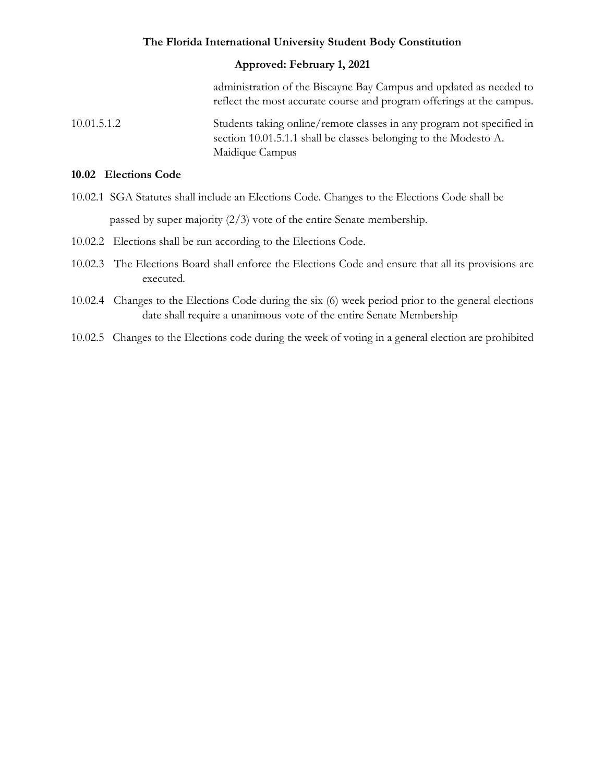#### **Approved: February 1, 2021**

administration of the Biscayne Bay Campus and updated as needed to reflect the most accurate course and program offerings at the campus.

10.01.5.1.2 Students taking online/remote classes in any program not specified in section 10.01.5.1.1 shall be classes belonging to the Modesto A. Maidique Campus

#### <span id="page-34-0"></span>**10.02 Elections Code**

- 10.02.1 SGA Statutes shall include an Elections Code. Changes to the Elections Code shall be passed by super majority (2/3) vote of the entire Senate membership.
- 10.02.2 Elections shall be run according to the Elections Code.
- 10.02.3 The Elections Board shall enforce the Elections Code and ensure that all its provisions are executed.
- 10.02.4 Changes to the Elections Code during the six (6) week period prior to the general elections date shall require a unanimous vote of the entire Senate Membership
- 10.02.5 Changes to the Elections code during the week of voting in a general election are prohibited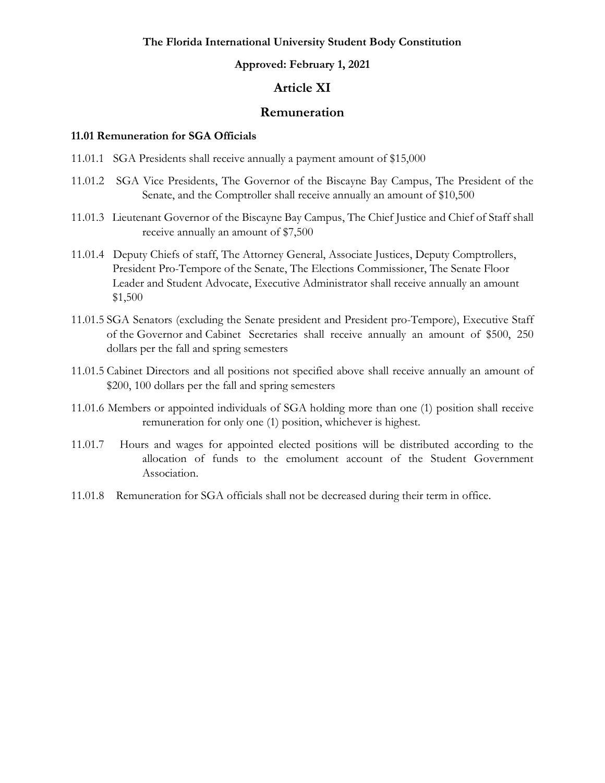#### **Approved: February 1, 2021**

### **Article XI**

#### **Remuneration**

#### <span id="page-35-1"></span><span id="page-35-0"></span>**11.01 Remuneration for SGA Officials**

- 11.01.1 SGA Presidents shall receive annually a payment amount of \$15,000
- 11.01.2 SGA Vice Presidents, The Governor of the Biscayne Bay Campus, The President of the Senate, and the Comptroller shall receive annually an amount of \$10,500
- 11.01.3 Lieutenant Governor of the Biscayne Bay Campus, The Chief Justice and Chief of Staff shall receive annually an amount of \$7,500
- 11.01.4 Deputy Chiefs of staff, The Attorney General, Associate Justices, Deputy Comptrollers, President Pro-Tempore of the Senate, The Elections Commissioner, The Senate Floor Leader and Student Advocate, Executive Administrator shall receive annually an amount \$1,500
- 11.01.5 SGA Senators (excluding the Senate president and President pro-Tempore), Executive Staff of the Governor and Cabinet Secretaries shall receive annually an amount of \$500, 250 dollars per the fall and spring semesters
- 11.01.5 Cabinet Directors and all positions not specified above shall receive annually an amount of \$200, 100 dollars per the fall and spring semesters
- 11.01.6 Members or appointed individuals of SGA holding more than one (1) position shall receive remuneration for only one (1) position, whichever is highest.
- 11.01.7 Hours and wages for appointed elected positions will be distributed according to the allocation of funds to the emolument account of the Student Government Association.
- 11.01.8 Remuneration for SGA officials shall not be decreased during their term in office.